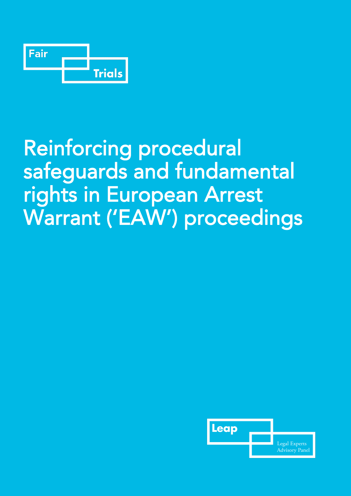

# Reinforcing procedural safeguards and fundamental rights in European Arrest Warrant ('EAW') proceedings

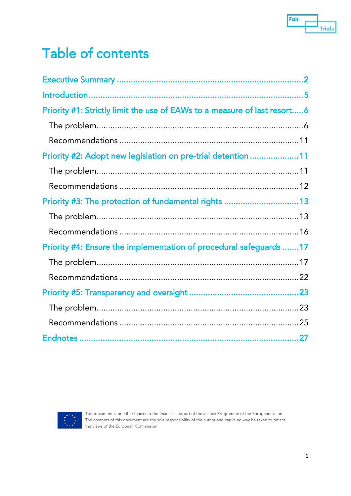

## Table of contents

| Priority #1: Strictly limit the use of EAWs to a measure of last resort6 |  |
|--------------------------------------------------------------------------|--|
|                                                                          |  |
|                                                                          |  |
| Priority #2: Adopt new legislation on pre-trial detention 11             |  |
|                                                                          |  |
|                                                                          |  |
| Priority #3: The protection of fundamental rights  13                    |  |
|                                                                          |  |
|                                                                          |  |
| Priority #4: Ensure the implementation of procedural safeguards 17       |  |
|                                                                          |  |
|                                                                          |  |
|                                                                          |  |
|                                                                          |  |
|                                                                          |  |
|                                                                          |  |



This document is possible thanks to the financial support of the Justice Programme of the European Union. The contents of this document are the sole responsibility of the author and can in no way be taken to reflect the views of the European Commission.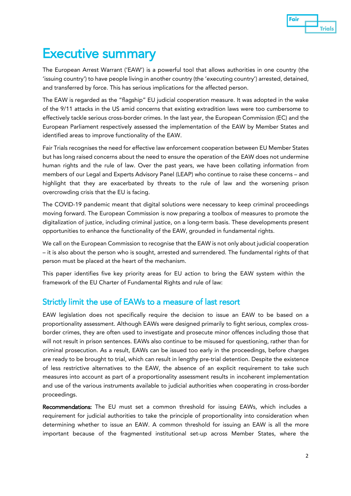

## Executive summary

The European Arrest Warrant ('EAW') is a powerful tool that allows authorities in one country (the 'issuing country') to have people living in another country (the 'executing country') arrested, detained, and transferred by force. This has serious implications for the affected person.

The EAW is regarded as the "flagship" EU judicial cooperation measure. It was adopted in the wake of the 9/11 attacks in the US amid concerns that existing extradition laws were too cumbersome to effectively tackle serious cross-border crimes. In the last year, the European Commission (EC) and the European Parliament respectively assessed the implementation of the EAW by Member States and identified areas to improve functionality of the EAW.

Fair Trials recognises the need for effective law enforcement cooperation between EU Member States but has long raised concerns about the need to ensure the operation of the EAW does not undermine human rights and the rule of law. Over the past years, we have been collating information from members of our Legal and Experts Advisory Panel (LEAP) who continue to raise these concerns – and highlight that they are exacerbated by threats to the rule of law and the worsening prison overcrowding crisis that the EU is facing.

The COVID-19 pandemic meant that digital solutions were necessary to keep criminal proceedings moving forward. The European Commission is now preparing a toolbox of measures to promote the digitalization of justice, including criminal justice, on a long-term basis. These developments present opportunities to enhance the functionality of the EAW, grounded in fundamental rights.

We call on the European Commission to recognise that the EAW is not only about judicial cooperation – it is also about the person who is sought, arrested and surrendered. The fundamental rights of that person must be placed at the heart of the mechanism.

This paper identifies five key priority areas for EU action to bring the EAW system within the framework of the EU Charter of Fundamental Rights and rule of law:

#### Strictly limit the use of EAWs to a measure of last resort

EAW legislation does not specifically require the decision to issue an EAW to be based on a proportionality assessment. Although EAWs were designed primarily to fight serious, complex crossborder crimes, they are often used to investigate and prosecute minor offences including those that will not result in prison sentences. EAWs also continue to be misused for questioning, rather than for criminal prosecution. As a result, EAWs can be issued too early in the proceedings, before charges are ready to be brought to trial, which can result in lengthy pre-trial detention. Despite the existence of less restrictive alternatives to the EAW, the absence of an explicit requirement to take such measures into account as part of a proportionality assessment results in incoherent implementation and use of the various instruments available to judicial authorities when cooperating in cross-border proceedings.

Recommendations: The EU must set a common threshold for issuing EAWs, which includes a requirement for judicial authorities to take the principle of proportionality into consideration when determining whether to issue an EAW. A common threshold for issuing an EAW is all the more important because of the fragmented institutional set-up across Member States, where the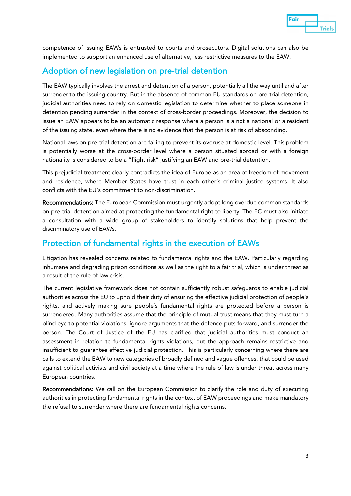

competence of issuing EAWs is entrusted to courts and prosecutors. Digital solutions can also be implemented to support an enhanced use of alternative, less restrictive measures to the EAW.

#### Adoption of new legislation on pre-trial detention

The EAW typically involves the arrest and detention of a person, potentially all the way until and after surrender to the issuing country. But in the absence of common EU standards on pre-trial detention, judicial authorities need to rely on domestic legislation to determine whether to place someone in detention pending surrender in the context of cross-border proceedings. Moreover, the decision to issue an EAW appears to be an automatic response where a person is a not a national or a resident of the issuing state, even where there is no evidence that the person is at risk of absconding.

National laws on pre-trial detention are failing to prevent its overuse at domestic level. This problem is potentially worse at the cross-border level where a person situated abroad or with a foreign nationality is considered to be a "flight risk" justifying an EAW and pre-trial detention.

This prejudicial treatment clearly contradicts the idea of Europe as an area of freedom of movement and residence, where Member States have trust in each other's criminal justice systems. It also conflicts with the EU's commitment to non-discrimination.

Recommendations: The European Commission must urgently adopt long overdue common standards on pre-trial detention aimed at protecting the fundamental right to liberty. The EC must also initiate a consultation with a wide group of stakeholders to identify solutions that help prevent the discriminatory use of EAWs.

#### Protection of fundamental rights in the execution of EAWs

Litigation has revealed concerns related to fundamental rights and the EAW. Particularly regarding inhumane and degrading prison conditions as well as the right to a fair trial, which is under threat as a result of the rule of law crisis.

The current legislative framework does not contain sufficiently robust safeguards to enable judicial authorities across the EU to uphold their duty of ensuring the effective judicial protection of people's rights, and actively making sure people's fundamental rights are protected before a person is surrendered. Many authorities assume that the principle of mutual trust means that they must turn a blind eye to potential violations, ignore arguments that the defence puts forward, and surrender the person. The Court of Justice of the EU has clarified that judicial authorities must conduct an assessment in relation to fundamental rights violations, but the approach remains restrictive and insufficient to guarantee effective judicial protection. This is particularly concerning where there are calls to extend the EAW to new categories of broadly defined and vague offences, that could be used against political activists and civil society at a time where the rule of law is under threat across many European countries.

Recommendations: We call on the European Commission to clarify the role and duty of executing authorities in protecting fundamental rights in the context of EAW proceedings and make mandatory the refusal to surrender where there are fundamental rights concerns.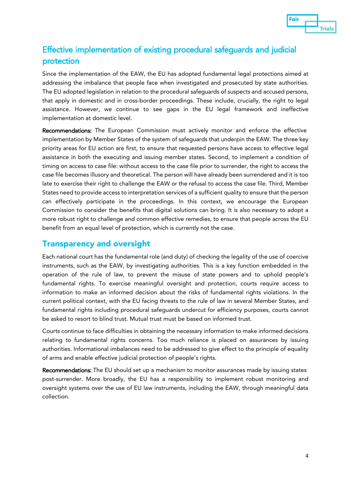

#### Effective implementation of existing procedural safeguards and judicial protection

Since the implementation of the EAW, the EU has adopted fundamental legal protections aimed at addressing the imbalance that people face when investigated and prosecuted by state authorities. The EU adopted legislation in relation to the procedural safeguards of suspects and accused persons, that apply in domestic and in cross-border proceedings. These include, crucially, the right to legal assistance. However, we continue to see gaps in the EU legal framework and ineffective implementation at domestic level.

Recommendations: The European Commission must actively monitor and enforce the effective implementation by Member States of the system of safeguards that underpin the EAW. The three key priority areas for EU action are first, to ensure that requested persons have access to effective legal assistance in both the executing and issuing member states. Second, to implement a condition of timing on access to case file: without access to the case file prior to surrender, the right to access the case file becomes illusory and theoretical. The person will have already been surrendered and it is too late to exercise their right to challenge the EAW or the refusal to access the case file. Third, Member States need to provide access to interpretation services of a sufficient quality to ensure that the person can effectively participate in the proceedings. In this context, we encourage the European Commission to consider the benefits that digital solutions can bring. It is also necessary to adopt a more robust right to challenge and common effective remedies, to ensure that people across the EU benefit from an equal level of protection, which is currently not the case.

#### Transparency and oversight

Each national court has the fundamental role (and duty) of checking the legality of the use of coercive instruments, such as the EAW, by investigating authorities. This is a key function embedded in the operation of the rule of law, to prevent the misuse of state powers and to uphold people's fundamental rights. To exercise meaningful oversight and protection, courts require access to information to make an informed decision about the risks of fundamental rights violations. In the current political context, with the EU facing threats to the rule of law in several Member States, and fundamental rights including procedural safeguards undercut for efficiency purposes, courts cannot be asked to resort to blind trust. Mutual trust must be based on informed trust.

Courts continue to face difficulties in obtaining the necessary information to make informed decisions relating to fundamental rights concerns. Too much reliance is placed on assurances by issuing authorities. Informational imbalances need to be addressed to give effect to the principle of equality of arms and enable effective judicial protection of people's rights.

Recommendations: The EU should set up a mechanism to monitor assurances made by issuing states post-surrender. More broadly, the EU has a responsibility to implement robust monitoring and oversight systems over the use of EU law instruments, including the EAW, through meaningful data collection.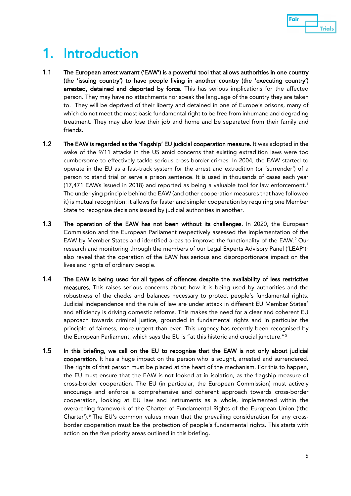

## 1. Introduction

- 1.1 The European arrest warrant ('EAW') is a powerful tool that allows authorities in one country (the 'issuing country') to have people living in another country (the 'executing country') arrested, detained and deported by force. This has serious implications for the affected person. They may have no attachments nor speak the language of the country they are taken to. They will be deprived of their liberty and detained in one of Europe's prisons, many of which do not meet the most basic fundamental right to be free from inhumane and degrading treatment. They may also lose their job and home and be separated from their family and friends.
- 1.2 The EAW is regarded as the 'flagship' EU judicial cooperation measure. It was adopted in the wake of the 9/11 attacks in the US amid concerns that existing extradition laws were too cumbersome to effectively tackle serious cross-border crimes. In 2004, the EAW started to operate in the EU as a fast-track system for the arrest and extradition (or 'surrender') of a person to stand trial or serve a prison sentence. It is used in thousands of cases each year (17,471 EAWs issued in 2018) and reported as being a valuable tool for law enforcement.[1](#page-27-0) The underlying principle behind the EAW (and other cooperation measures that have followed it) is mutual recognition: it allows for faster and simpler cooperation by requiring one Member State to recognise decisions issued by judicial authorities in another.
- 1.3 The operation of the EAW has not been without its challenges. In 2020, the European Commission and the European Parliament respectively assessed the implementation of the EAW by Member States and identified areas to improve the functionality of the EAW.<sup>[2](#page-27-1)</sup> Our research and monitoring through the members of our Legal Experts Advisory Panel ('LEAP') [3](#page-27-2) also reveal that the operation of the EAW has serious and disproportionate impact on the lives and rights of ordinary people.
- 1.4 The EAW is being used for all types of offences despite the availability of less restrictive measures. This raises serious concerns about how it is being used by authorities and the robustness of the checks and balances necessary to protect people's fundamental rights. Judicial independence and the rule of law are under attack in different EU Member States<sup>[4](#page-27-3)</sup> and efficiency is driving domestic reforms. This makes the need for a clear and coherent EU approach towards criminal justice, grounded in fundamental rights and in particular the principle of fairness, more urgent than ever. This urgency has recently been recognised by the European Parliament, which says the EU is "at this historic and crucial juncture."[5](#page-27-4)
- 1.5 In this briefing, we call on the EU to recognise that the EAW is not only about judicial cooperation. It has a huge impact on the person who is sought, arrested and surrendered. The rights of that person must be placed at the heart of the mechanism. For this to happen, the EU must ensure that the EAW is not looked at in isolation, as the flagship measure of cross-border cooperation. The EU (in particular, the European Commission) must actively encourage and enforce a comprehensive and coherent approach towards cross-border cooperation, looking at EU law and instruments as a whole, implemented within the overarching framework of the Charter of Fundamental Rights of the European Union ('the Charter'). [6](#page-27-5) The EU's common values mean that the prevailing consideration for any crossborder cooperation must be the protection of people's fundamental rights. This starts with action on the five priority areas outlined in this briefing.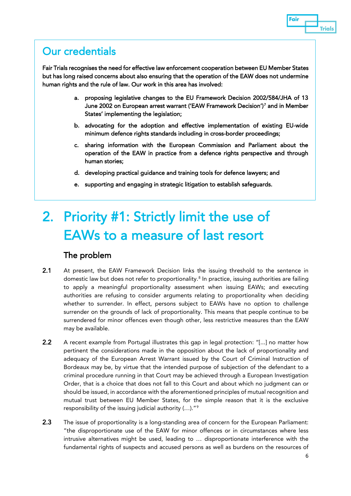### Our credentials

Fair Trials recognises the need for effective law enforcement cooperation between EU Member States but has long raised concerns about also ensuring that the operation of the EAW does not undermine human rights and the rule of law. Our work in this area has involved:

- a. proposing legislative changes to the EU Framework Decision 2002/584/JHA of 13 June 2002 on European arrest warrant ('EAW Framework Decision')[7](#page-27-6) and in Member States' implementing the legislation;
- b. advocating for the adoption and effective implementation of existing EU-wide minimum defence rights standards including in cross-border proceedings;
- c. sharing information with the European Commission and Parliament about the operation of the EAW in practice from a defence rights perspective and through human stories;
- d. developing practical guidance and training tools for defence lawyers; and
- e. supporting and engaging in strategic litigation to establish safeguards.

## 2. Priority #1: Strictly limit the use of EAWs to a measure of last resort

#### The problem

- 2.1 At present, the EAW Framework Decision links the issuing threshold to the sentence in domestic law but does not refer to proportionality.<sup>[8](#page-27-7)</sup> In practice, issuing authorities are failing to apply a meaningful proportionality assessment when issuing EAWs; and executing authorities are refusing to consider arguments relating to proportionality when deciding whether to surrender. In effect, persons subject to EAWs have no option to challenge surrender on the grounds of lack of proportionality. This means that people continue to be surrendered for minor offences even though other, less restrictive measures than the EAW may be available.
- 2.2 A recent example from Portugal illustrates this gap in legal protection: "[...] no matter how pertinent the considerations made in the opposition about the lack of proportionality and adequacy of the European Arrest Warrant issued by the Court of Criminal Instruction of Bordeaux may be, by virtue that the intended purpose of subjection of the defendant to a criminal procedure running in that Court may be achieved through a European Investigation Order, that is a choice that does not fall to this Court and about which no judgment can or should be issued, in accordance with the aforementioned principles of mutual recognition and mutual trust between EU Member States, for the simple reason that it is the exclusive responsibility of the issuing judicial authority (…)."[9](#page-27-8)
- 2.3 The issue of proportionality is a long-standing area of concern for the European Parliament: "the disproportionate use of the EAW for minor offences or in circumstances where less intrusive alternatives might be used, leading to … disproportionate interference with the fundamental rights of suspects and accused persons as well as burdens on the resources of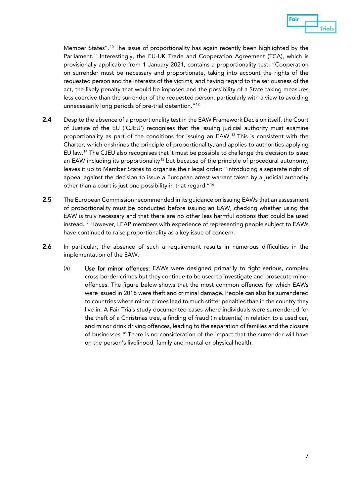

Member States".<sup>[10](#page-27-9)</sup> The issue of proportionality has again recently been highlighted by the Parliament.<sup>[11](#page-27-10)</sup> Interestingly, the EU-UK Trade and Cooperation Agreement (TCA), which is provisionally applicable from 1 January 2021, contains a proportionality test: "Cooperation on surrender must be necessary and proportionate, taking into account the rights of the requested person and the interests of the victims, and having regard to the seriousness of the act, the likely penalty that would be imposed and the possibility of a State taking measures less coercive than the surrender of the requested person, particularly with a view to avoiding unnecessarily long periods of pre-trial detention."[12](#page-27-11)

- 2.4 Despite the absence of a proportionality test in the EAW Framework Decision itself, the Court of Justice of the EU ('CJEU') recognises that the issuing judicial authority must examine proportionality as part of the conditions for issuing an EAW.[13](#page-27-12) This is consistent with the Charter, which enshrines the principle of proportionality, and applies to authorities applying EU law.[14](#page-27-13) The CJEU also recognises that it must be possible to challenge the decision to issue an EAW including its proportionality<sup>[15](#page-27-14)</sup> but because of the principle of procedural autonomy, leaves it up to Member States to organise their legal order: "introducing a separate right of appeal against the decision to issue a European arrest warrant taken by a judicial authority other than a court is just one possibility in that regard."[16](#page-27-15)
- 2.5 The European Commission recommended in its quidance on issuing EAWs that an assessment of proportionality must be conducted before issuing an EAW, checking whether using the EAW is truly necessary and that there are no other less harmful options that could be used instead.[17](#page-27-16) However, LEAP members with experience of representing people subject to EAWs have continued to raise proportionality as a key issue of concern.
- 2.6 In particular, the absence of such a requirement results in numerous difficulties in the implementation of the EAW.
	- (a) Use for minor offences: EAWs were designed primarily to fight serious, complex cross-border crimes but they continue to be used to investigate and prosecute minor offences. The figure below shows that the most common offences for which EAWs were issued in 2018 were theft and criminal damage. People can also be surrendered to countries where minor crimes lead to much stiffer penalties than in the country they live in. A Fair Trials study documented cases where individuals were surrendered for the theft of a Christmas tree, a finding of fraud (in absentia) in relation to a used car, and minor drink driving offences, leading to the separation of families and the closure of businesses.[18](#page-28-0) There is no consideration of the impact that the surrender will have on the person's livelihood, family and mental or physical health.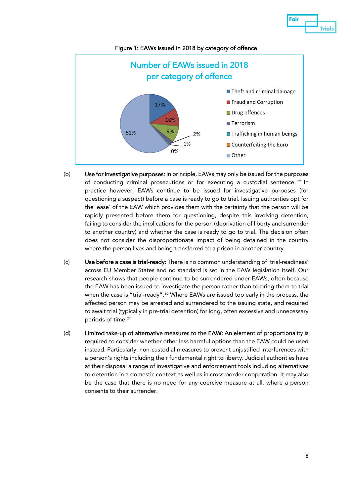

Figure 1: EAWs issued in 2018 by category of offence

- (b) Use for investigative purposes: In principle, EAWs may only be issued for the purposes of conducting criminal prosecutions or for executing a custodial sentence. [19](#page-28-1) In practice however, EAWs continue to be issued for investigative purposes (for questioning a suspect) before a case is ready to go to trial. Issuing authorities opt for the 'ease' of the EAW which provides them with the certainty that the person will be rapidly presented before them for questioning, despite this involving detention, failing to consider the implications for the person (deprivation of liberty and surrender to another country) and whether the case is ready to go to trial. The decision often does not consider the disproportionate impact of being detained in the country where the person lives and being transferred to a prison in another country.
- (c) Use before a case is trial-ready: There is no common understanding of 'trial-readiness' across EU Member States and no standard is set in the EAW legislation itself. Our research shows that people continue to be surrendered under EAWs, often because the EAW has been issued to investigate the person rather than to bring them to trial when the case is "trial-ready".<sup>[20](#page-28-2)</sup> Where EAWs are issued too early in the process, the affected person may be arrested and surrendered to the issuing state, and required to await trial (typically in pre-trial detention) for long, often excessive and unnecessary periods of time.<sup>21</sup>
- (d) Limited take-up of alternative measures to the EAW: An element of proportionality is required to consider whether other less harmful options than the EAW could be used instead. Particularly, non-custodial measures to prevent unjustified interferences with a person's rights including their fundamental right to liberty. Judicial authorities have at their disposal a range of investigative and enforcement tools including alternatives to detention in a domestic context as well as in cross-border cooperation. It may also be the case that there is no need for any coercive measure at all, where a person consents to their surrender.

Fair

**Trials**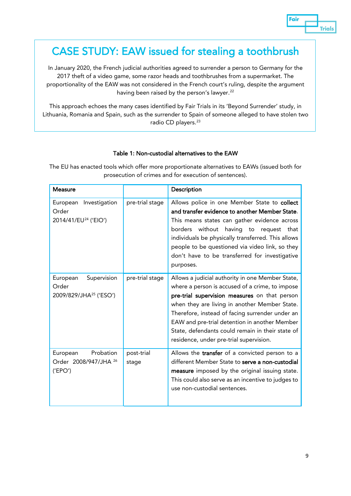

### CASE STUDY: EAW issued for stealing a toothbrush

In January 2020, the French judicial authorities agreed to surrender a person to Germany for the 2017 theft of a video game, some razor heads and toothbrushes from a supermarket. The proportionality of the EAW was not considered in the French court's ruling, despite the argument having been raised by the person's lawyer.<sup>[22](#page-28-4)</sup>

This approach echoes the many cases identified by Fair Trials in its 'Beyond Surrender' study, in Lithuania, Romania and Spain, such as the surrender to Spain of someone alleged to have stolen two radio CD players.<sup>[23](#page-28-5)</sup>

#### Table 1: Non-custodial alternatives to the EAW

The EU has enacted tools which offer more proportionate alternatives to EAWs (issued both for prosecution of crimes and for execution of sentences).

| <b>Measure</b>                                                         |                     | Description                                                                                                                                                                                                                                                                                                                                                                                              |
|------------------------------------------------------------------------|---------------------|----------------------------------------------------------------------------------------------------------------------------------------------------------------------------------------------------------------------------------------------------------------------------------------------------------------------------------------------------------------------------------------------------------|
| Investigation<br>European<br>Order<br>2014/41/EU <sup>24</sup> ('EIO') | pre-trial stage     | Allows police in one Member State to collect<br>and transfer evidence to another Member State.<br>This means states can gather evidence across<br>borders without having to request that<br>individuals be physically transferred. This allows<br>people to be questioned via video link, so they<br>don't have to be transferred for investigative<br>purposes.                                         |
| Supervision<br>European<br>Order<br>2009/829/JHA <sup>25</sup> ('ESO') | pre-trial stage     | Allows a judicial authority in one Member State,<br>where a person is accused of a crime, to impose<br>pre-trial supervision measures on that person<br>when they are living in another Member State.<br>Therefore, instead of facing surrender under an<br>EAW and pre-trial detention in another Member<br>State, defendants could remain in their state of<br>residence, under pre-trial supervision. |
| Probation<br>European<br>Order 2008/947/JHA <sup>26</sup><br>('EPO')   | post-trial<br>stage | Allows the transfer of a convicted person to a<br>different Member State to serve a non-custodial<br>measure imposed by the original issuing state.<br>This could also serve as an incentive to judges to<br>use non-custodial sentences.                                                                                                                                                                |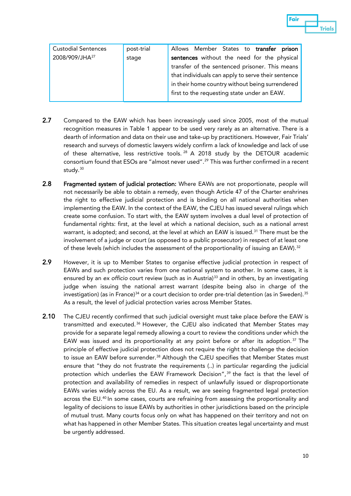| <b>Custodial Sentences</b> | post-trial | prison<br>Allows Member States to <b>transfer</b>  |
|----------------------------|------------|----------------------------------------------------|
| 2008/909/JHA <sup>27</sup> | stage      | sentences without the need for the physical        |
|                            |            | transfer of the sentenced prisoner. This means     |
|                            |            | that individuals can apply to serve their sentence |
|                            |            | in their home country without being surrendered    |
|                            |            | first to the requesting state under an EAW.        |
|                            |            |                                                    |

- 2.7 Compared to the EAW which has been increasingly used since 2005, most of the mutual recognition measures in Table 1 appear to be used very rarely as an alternative. There is a dearth of information and data on their use and take-up by practitioners. However, Fair Trials' research and surveys of domestic lawyers widely confirm a lack of knowledge and lack of use of these alternative, less restrictive tools.  $^{28}$  $^{28}$  $^{28}$  A 2018 study by the DETOUR academic consortium found that ESOs are "almost never used". [29](#page-28-11) This was further confirmed in a recent study.<sup>[30](#page-28-12)</sup>
- 2.8 Fragmented system of judicial protection: Where EAWs are not proportionate, people will not necessarily be able to obtain a remedy, even though Article 47 of the Charter enshrines the right to effective judicial protection and is binding on all national authorities when implementing the EAW. In the context of the EAW, the CJEU has issued several rulings which create some confusion. To start with, the EAW system involves a dual level of protection of fundamental rights: first, at the level at which a national decision, such as a national arrest warrant, is adopted; and second, at the level at which an EAW is issued.<sup>[31](#page-28-13)</sup> There must be the involvement of a judge or court (as opposed to a public prosecutor) in respect of at least one of these levels (which includes the assessment of the proportionality of issuing an EAW).<sup>[32](#page-28-14)</sup>
- 2.9 However, it is up to Member States to organise effective judicial protection in respect of EAWs and such protection varies from one national system to another. In some cases, it is ensured by an *ex officio* court review (such as in Austria)<sup>[33](#page-28-15)</sup> and in others, by an investigating judge when issuing the national arrest warrant (despite being also in charge of the investigation) (as in France) $34$  or a court decision to order pre-trial detention (as in Sweden).  $35$ As a result, the level of judicial protection varies across Member States.
- 2.10 The CJEU recently confirmed that such judicial oversight must take place *before* the EAW is transmitted and executed. [36](#page-28-18) However, the CJEU also indicated that Member States may provide for a separate legal remedy allowing a court to review the conditions under which the EAW was issued and its proportionality at any point before or after its adoption.<sup>[37](#page-28-19)</sup> The principle of effective judicial protection does not require the right to challenge the decision to issue an EAW before surrender.<sup>[38](#page-29-0)</sup> Although the CJEU specifies that Member States must ensure that "they do not frustrate the requirements (..) in particular regarding the judicial protection which underlies the EAW Framework Decision",<sup>[39](#page-29-1)</sup> the fact is that the level of protection and availability of remedies in respect of unlawfully issued or disproportionate EAWs varies widely across the EU. As a result, we are seeing fragmented legal protection across the EU.<sup>[40](#page-29-2)</sup> In some cases, courts are refraining from assessing the proportionality and legality of decisions to issue EAWs by authorities in other jurisdictions based on the principle of mutual trust. Many courts focus only on what has happened on their territory and not on what has happened in other Member States. This situation creates legal uncertainty and must be urgently addressed.

Fair

**Trials**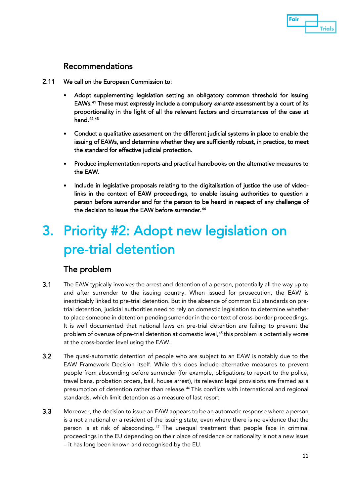

#### Recommendations

- 2.11 We call on the European Commission to:
	- Adopt supplementing legislation setting an obligatory common threshold for issuing EAWs.<sup>[41](#page-29-3)</sup> These must expressly include a compulsory *ex-ante* assessment by a court of its proportionality in the light of all the relevant factors and circumstances of the case at hand. [42,](#page-29-4)[43](#page-29-5)
	- Conduct a qualitative assessment on the different judicial systems in place to enable the issuing of EAWs, and determine whether they are sufficiently robust, in practice, to meet the standard for effective judicial protection.
	- Produce implementation reports and practical handbooks on the alternative measures to the EAW.
	- Include in legislative proposals relating to the digitalisation of justice the use of videolinks in the context of EAW proceedings, to enable issuing authorities to question a person before surrender and for the person to be heard in respect of any challenge of the decision to issue the EAW before surrender.<sup>44</sup>

## 3. Priority #2: Adopt new legislation on pre-trial detention

#### The problem

- 3.1 The EAW typically involves the arrest and detention of a person, potentially all the way up to and after surrender to the issuing country. When issued for prosecution, the EAW is inextricably linked to pre-trial detention. But in the absence of common EU standards on pretrial detention, judicial authorities need to rely on domestic legislation to determine whether to place someone in detention pending surrender in the context of cross-border proceedings. It is well documented that national laws on pre-trial detention are failing to prevent the problem of overuse of pre-trial detention at domestic level,<sup>[45](#page-29-7)</sup> this problem is potentially worse at the cross-border level using the EAW.
- 3.2 The quasi-automatic detention of people who are subject to an EAW is notably due to the EAW Framework Decision itself. While this does include alternative measures to prevent people from absconding before surrender (for example, obligations to report to the police, travel bans, probation orders, bail, house arrest), its relevant legal provisions are framed as a presumption of detention rather than release.[46](#page-29-8) This conflicts with international and regional standards, which limit detention as a measure of last resort.
- 3.3 Moreover, the decision to issue an EAW appears to be an automatic response where a person is a not a national or a resident of the issuing state, even where there is no evidence that the person is at risk of absconding. [47](#page-29-9) The unequal treatment that people face in criminal proceedings in the EU depending on their place of residence or nationality is not a new issue – it has long been known and recognised by the EU.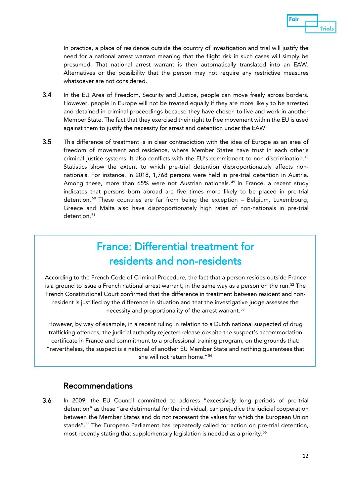

In practice, a place of residence outside the country of investigation and trial will justify the need for a national arrest warrant meaning that the flight risk in such cases will simply be presumed. That national arrest warrant is then automatically translated into an EAW. Alternatives or the possibility that the person may not require any restrictive measures whatsoever are not considered.

- 3.4 In the EU Area of Freedom, Security and Justice, people can move freely across borders. However, people in Europe will not be treated equally if they are more likely to be arrested and detained in criminal proceedings because they have chosen to live and work in another Member State. The fact that they exercised their right to free movement within the EU is used against them to justify the necessity for arrest and detention under the EAW.
- 3.5 This difference of treatment is in clear contradiction with the idea of Europe as an area of freedom of movement and residence, where Member States have trust in each other's criminal justice systems. It also conflicts with the EU's commitment to non-discrimination.<sup>[48](#page-29-10)</sup> Statistics show the extent to which pre-trial detention disproportionately affects nonnationals. For instance, in 2018, 1,768 persons were held in pre-trial detention in Austria. Among these, more than 65% were not Austrian nationals.<sup>[49](#page-29-11)</sup> In France, a recent study indicates that persons born abroad are five times more likely to be placed in pre-trial detention. [50](#page-29-12) These countries are far from being the exception – Belgium, Luxembourg, Greece and Malta also have disproportionately high rates of non-nationals in pre-trial detention.<sup>[51](#page-29-13)</sup>

### France: Differential treatment for residents and non-residents

According to the French Code of Criminal Procedure, the fact that a person resides outside France is a ground to issue a French national arrest warrant, in the same way as a person on the run.<sup>[52](#page-29-14)</sup> The French Constitutional Court confirmed that the difference in treatment between resident and nonresident is justified by the difference in situation and that the investigative judge assesses the necessity and proportionality of the arrest warrant.[53](#page-29-15)

However, by way of example, in a recent ruling in relation to a Dutch national suspected of drug trafficking offences, the judicial authority rejected release despite the suspect's accommodation certificate in France and commitment to a professional training program, on the grounds that: "nevertheless, the suspect is a national of another EU Member State and nothing guarantees that she will not return home."[54](#page-29-16)

#### Recommendations

3.6 In 2009, the EU Council committed to address "excessively long periods of pre-trial detention" as these "are detrimental for the individual, can prejudice the judicial cooperation between the Member States and do not represent the values for which the European Union stands". [55](#page-30-0) The European Parliament has repeatedly called for action on pre-trial detention, most recently stating that supplementary legislation is needed as a priority.[56](#page-30-1)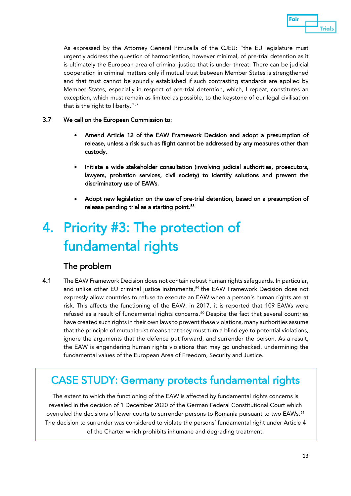

As expressed by the Attorney General Pitruzella of the CJEU: "the EU legislature must urgently address the question of harmonisation, however minimal, of pre-trial detention as it is ultimately the European area of criminal justice that is under threat. There can be judicial cooperation in criminal matters only if mutual trust between Member States is strengthened and that trust cannot be soundly established if such contrasting standards are applied by Member States, especially in respect of pre-trial detention, which, I repeat, constitutes an exception, which must remain as limited as possible, to the keystone of our legal civilisation that is the right to liberty."[57](#page-30-2)

#### 3.7 We call on the European Commission to:

- Amend Article 12 of the EAW Framework Decision and adopt a presumption of release, unless a risk such as flight cannot be addressed by any measures other than custody.
- Initiate a wide stakeholder consultation (involving judicial authorities, prosecutors, lawyers, probation services, civil society) to identify solutions and prevent the discriminatory use of EAWs.
- Adopt new legislation on the use of pre-trial detention, based on a presumption of release pending trial as a starting point.<sup>[58](#page-30-3)</sup>

## 4. Priority #3: The protection of fundamental rights

#### The problem

4.1 The EAW Framework Decision does not contain robust human rights safequards. In particular, and unlike other EU criminal justice instruments,<sup>[59](#page-30-4)</sup> the EAW Framework Decision does not expressly allow countries to refuse to execute an EAW when a person's human rights are at risk. This affects the functioning of the EAW: in 2017, it is reported that 109 EAWs were refused as a result of fundamental rights concerns. [60](#page-30-5) Despite the fact that several countries have created such rights in their own laws to prevent these violations, many authorities assume that the principle of mutual trust means that they must turn a blind eye to potential violations, ignore the arguments that the defence put forward, and surrender the person. As a result, the EAW is engendering human rights violations that may go unchecked, undermining the fundamental values of the European Area of Freedom, Security and Justice.

### CASE STUDY: Germany protects fundamental rights

The extent to which the functioning of the EAW is affected by fundamental rights concerns is revealed in the decision of 1 December 2020 of the German Federal Constitutional Court which overruled the decisions of lower courts to surrender persons to Romania pursuant to two EAWs.<sup>[61](#page-30-6)</sup> The decision to surrender was considered to violate the persons' fundamental right under Article 4 of the Charter which prohibits inhumane and degrading treatment.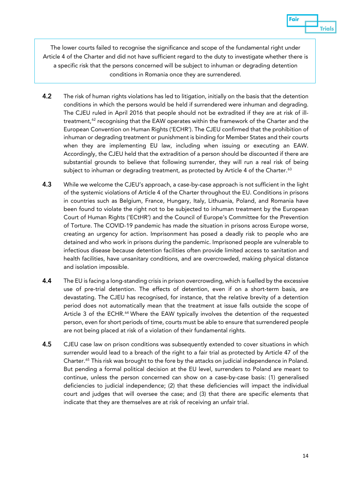The lower courts failed to recognise the significance and scope of the fundamental right under Article 4 of the Charter and did not have sufficient regard to the duty to investigate whether there is a specific risk that the persons concerned will be subject to inhuman or degrading detention conditions in Romania once they are surrendered.

- 4.2 The risk of human rights violations has led to litigation, initially on the basis that the detention conditions in which the persons would be held if surrendered were inhuman and degrading. The CJEU ruled in April 2016 that people should not be extradited if they are at risk of illtreatment, $62$  recognising that the EAW operates within the framework of the Charter and the European Convention on Human Rights ('ECHR'). The CJEU confirmed that the prohibition of inhuman or degrading treatment or punishment is binding for Member States and their courts when they are implementing EU law, including when issuing or executing an EAW. Accordingly, the CJEU held that the extradition of a person should be discounted if there are substantial grounds to believe that following surrender, they will run a real risk of being subject to inhuman or degrading treatment, as protected by Article 4 of the Charter.<sup>[63](#page-30-8)</sup>
- 4.3 While we welcome the CJEU's approach, a case-by-case approach is not sufficient in the light of the systemic violations of Article 4 of the Charter throughout the EU. Conditions in prisons in countries such as Belgium, France, Hungary, Italy, Lithuania, Poland, and Romania have been found to violate the right not to be subjected to inhuman treatment by the European Court of Human Rights ('ECtHR') and the Council of Europe's Committee for the Prevention of Torture. The COVID-19 pandemic has made the situation in prisons across Europe worse, creating an urgency for action. Imprisonment has posed a deadly risk to people who are detained and who work in prisons during the pandemic. Imprisoned people are vulnerable to infectious disease because detention facilities often provide limited access to sanitation and health facilities, have unsanitary conditions, and are overcrowded, making physical distance and isolation impossible.
- 4.4 The EU is facing a long-standing crisis in prison overcrowding, which is fuelled by the excessive use of pre-trial detention. The effects of detention, even if on a short-term basis, are devastating. The CJEU has recognised, for instance, that the relative brevity of a detention period does not automatically mean that the treatment at issue falls outside the scope of Article 3 of the ECHR.<sup>[64](#page-30-9)</sup> Where the EAW typically involves the detention of the requested person, even for short periods of time, courts must be able to ensure that surrendered people are not being placed at risk of a violation of their fundamental rights.
- 4.5 CJEU case law on prison conditions was subsequently extended to cover situations in which surrender would lead to a breach of the right to a fair trial as protected by Article 47 of the Charter.[65](#page-30-10) This risk was brought to the fore by the attacks on judicial independence in Poland. But pending a formal political decision at the EU level, surrenders to Poland are meant to continue, unless the person concerned can show on a case-by-case basis: (1) generalised deficiencies to judicial independence; (2) that these deficiencies will impact the individual court and judges that will oversee the case; and (3) that there are specific elements that indicate that they are themselves are at risk of receiving an unfair trial.

Fair

**Trials**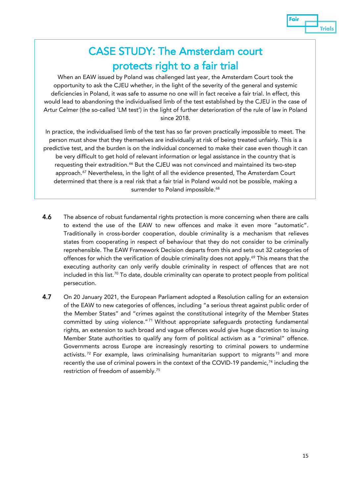#### Fair **Trials**

### CASE STUDY: The Amsterdam court protects right to a fair trial

When an EAW issued by Poland was challenged last year, the Amsterdam Court took the opportunity to ask the CJEU whether, in the light of the severity of the general and systemic deficiencies in Poland, it was safe to assume no one will in fact receive a fair trial. In effect, this would lead to abandoning the individualised limb of the test established by the CJEU in the case of Artur Celmer (the so-called 'LM test') in the light of further deterioration of the rule of law in Poland since 2018.

In practice, the individualised limb of the test has so far proven practically impossible to meet. The person must show that they themselves are individually at risk of being treated unfairly. This is a predictive test, and the burden is on the individual concerned to make their case even though it can be very difficult to get hold of relevant information or legal assistance in the country that is requesting their extradition.<sup>[66](#page-30-11)</sup> But the CJEU was not convinced and maintained its two-step approach.<sup>[67](#page-30-12)</sup> Nevertheless, in the light of all the evidence presented, The Amsterdam Court determined that there is a real risk that a fair trial in Poland would not be possible, making a surrender to Poland impossible.<sup>[68](#page-30-13)</sup>

- 4.6 The absence of robust fundamental rights protection is more concerning when there are calls to extend the use of the EAW to new offences and make it even more "automatic". Traditionally in cross-border cooperation, double criminality is a mechanism that relieves states from cooperating in respect of behaviour that they do not consider to be criminally reprehensible. The EAW Framework Decision departs from this and sets out 32 categories of offences for which the verification of double criminality does not apply.<sup>[69](#page-30-14)</sup> This means that the executing authority can only verify double criminality in respect of offences that are not included in this list. [70](#page-30-15) To date, double criminality can operate to protect people from political persecution.
- 4.7 On 20 January 2021, the European Parliament adopted a Resolution calling for an extension of the EAW to new categories of offences, including "a serious threat against public order of the Member States" and "crimes against the constitutional integrity of the Member States committed by using violence." [71](#page-30-16) Without appropriate safeguards protecting fundamental rights, an extension to such broad and vague offences would give huge discretion to issuing Member State authorities to qualify any form of political activism as a "criminal" offence. Governments across Europe are increasingly resorting to criminal powers to undermine activists.<sup>[72](#page-30-17)</sup> For example, laws criminalising humanitarian support to migrants<sup>[73](#page-30-18)</sup> and more recently the use of criminal powers in the context of the COVID-19 pandemic,<sup>[74](#page-30-19)</sup> including the restriction of freedom of assembly. [75](#page-30-20)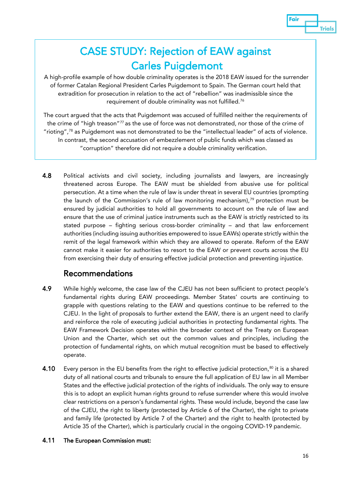

### CASE STUDY: Rejection of EAW against Carles Puigdemont

A high-profile example of how double criminality operates is the 2018 EAW issued for the surrender of former Catalan Regional President Carles Puigdemont to Spain. The German court held that extradition for prosecution in relation to the act of "rebellion" was inadmissible since the requirement of double criminality was not fulfilled.[76](#page-30-21)

The court argued that the acts that Puigdemont was accused of fulfilled neither the requirements of the crime of "high treason"<sup>[77](#page-30-22)</sup> as the use of force was not demonstrated, nor those of the crime of "rioting",<sup>[78](#page-30-23)</sup> as Puigdemont was not demonstrated to be the "intellectual leader" of acts of violence. In contrast, the second accusation of embezzlement of public funds which was classed as "corruption" therefore did not require a double criminality verification.

4.8 Political activists and civil society, including journalists and lawyers, are increasingly threatened across Europe. The EAW must be shielded from abusive use for political persecution. At a time when the rule of law is under threat in several EU countries (prompting the launch of the Commission's rule of law monitoring mechanism), $79$  protection must be ensured by judicial authorities to hold all governments to account on the rule of law and ensure that the use of criminal justice instruments such as the EAW is strictly restricted to its stated purpose – fighting serious cross-border criminality – and that law enforcement authorities (including issuing authorities empowered to issue EAWs) operate strictly within the remit of the legal framework within which they are allowed to operate. Reform of the EAW cannot make it easier for authorities to resort to the EAW or prevent courts across the EU from exercising their duty of ensuring effective judicial protection and preventing injustice.

#### Recommendations

- 4.9 While highly welcome, the case law of the CJEU has not been sufficient to protect people's fundamental rights during EAW proceedings. Member States' courts are continuing to grapple with questions relating to the EAW and questions continue to be referred to the CJEU. In the light of proposals to further extend the EAW, there is an urgent need to clarify and reinforce the role of executing judicial authorities in protecting fundamental rights. The EAW Framework Decision operates within the broader context of the Treaty on European Union and the Charter, which set out the common values and principles, including the protection of fundamental rights, on which mutual recognition must be based to effectively operate.
- **4.10** Every person in the EU benefits from the right to effective judicial protection, $^{80}$  $^{80}$  $^{80}$  it is a shared duty of all national courts and tribunals to ensure the full application of EU law in all Member States and the effective judicial protection of the rights of individuals. The only way to ensure this is to adopt an explicit human rights ground to refuse surrender where this would involve clear restrictions on a person's fundamental rights. These would include, beyond the case law of the CJEU, the right to liberty (protected by Article 6 of the Charter), the right to private and family life (protected by Article 7 of the Charter) and the right to health (protected by Article 35 of the Charter), which is particularly crucial in the ongoing COVID-19 pandemic.

#### 4.11 The European Commission must: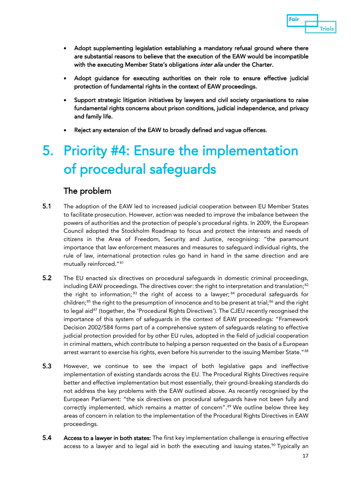

- Adopt supplementing legislation establishing a mandatory refusal ground where there are substantial reasons to believe that the execution of the EAW would be incompatible with the executing Member State's obligations inter alia under the Charter.
- Adopt guidance for executing authorities on their role to ensure effective judicial protection of fundamental rights in the context of EAW proceedings.
- Support strategic litigation initiatives by lawyers and civil society organisations to raise fundamental rights concerns about prison conditions, judicial independence, and privacy and family life.
- Reject any extension of the EAW to broadly defined and vague offences.

## 5. Priority #4: Ensure the implementation of procedural safeguards

#### The problem

- 5.1 The adoption of the EAW led to increased judicial cooperation between EU Member States to facilitate prosecution. However, action was needed to improve the imbalance between the powers of authorities and the protection of people's procedural rights. In 2009, the European Council adopted the Stockholm Roadmap to focus and protect the interests and needs of citizens in the Area of Freedom, Security and Justice, recognising: "the paramount importance that law enforcement measures and measures to safeguard individual rights, the rule of law, international protection rules go hand in hand in the same direction and are mutually reinforced."[81](#page-31-2)
- 5.2 The EU enacted six directives on procedural safeguards in domestic criminal proceedings, including EAW proceedings. The directives cover: the right to interpretation and translation; $^{\mathrm{82}}$  $^{\mathrm{82}}$  $^{\mathrm{82}}$ the right to information;  $83$  the right of access to a lawyer;  $84$  procedural safeguards for children; [85](#page-31-6) the right to the presumption of innocence and to be present at trial; [86](#page-31-7) and the right to legal aid<sup>[87](#page-31-8)</sup> (together, the 'Procedural Rights Directives'). The CJEU recently recognised the importance of this system of safeguards in the context of EAW proceedings: "Framework Decision 2002/584 forms part of a comprehensive system of safeguards relating to effective judicial protection provided for by other EU rules, adopted in the field of judicial cooperation in criminal matters, which contribute to helping a person requested on the basis of a European arrest warrant to exercise his rights, even before his surrender to the issuing Member State."[88](#page-31-9)
- 5.3 However, we continue to see the impact of both legislative gaps and ineffective implementation of existing standards across the EU. The Procedural Rights Directives require better and effective implementation but most essentially, their ground-breaking standards do not address the key problems with the EAW outlined above. As recently recognised by the European Parliament: "the six directives on procedural safeguards have not been fully and correctly implemented, which remains a matter of concern".<sup>[89](#page-31-10)</sup> We outline below three key areas of concern in relation to the implementation of the Procedural Rights Directives in EAW proceedings.
- 5.4 Access to a lawyer in both states: The first key implementation challenge is ensuring effective access to a lawyer and to legal aid in both the executing and issuing states. [90](#page-31-11) Typically an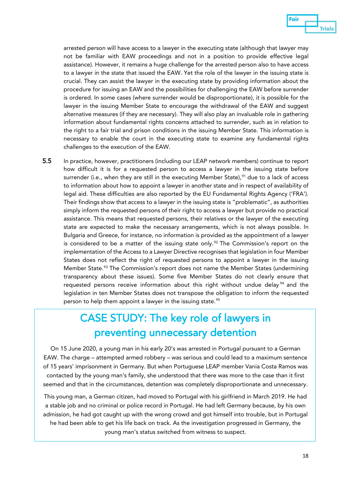

arrested person will have access to a lawyer in the executing state (although that lawyer may not be familiar with EAW proceedings and not in a position to provide effective legal assistance). However, it remains a huge challenge for the arrested person also to have access to a lawyer in the state that issued the EAW. Yet the role of the lawyer in the issuing state is crucial. They can assist the lawyer in the executing state by providing information about the procedure for issuing an EAW and the possibilities for challenging the EAW before surrender is ordered. In some cases (where surrender would be disproportionate), it is possible for the lawyer in the issuing Member State to encourage the withdrawal of the EAW and suggest alternative measures (if they are necessary). They will also play an invaluable role in gathering information about fundamental rights concerns attached to surrender, such as in relation to the right to a fair trial and prison conditions in the issuing Member State. This information is necessary to enable the court in the executing state to examine any fundamental rights challenges to the execution of the EAW.

5.5 In practice, however, practitioners (including our LEAP network members) continue to report how difficult it is for a requested person to access a lawyer in the issuing state before surrender (i.e., when they are still in the executing Member State),<sup>[91](#page-31-12)</sup> due to a lack of access to information about how to appoint a lawyer in another state and in respect of availability of legal aid. These difficulties are also reported by the EU Fundamental Rights Agency ('FRA'). Their findings show that access to a lawyer in the issuing state is "problematic", as authorities simply inform the requested persons of their right to access a lawyer but provide no practical assistance. This means that requested persons, their relatives or the lawyer of the executing state are expected to make the necessary arrangements, which is not always possible. In Bulgaria and Greece, for instance, no information is provided as the appointment of a lawyer is considered to be a matter of the issuing state only.<sup>[92](#page-31-13)</sup> The Commission's report on the implementation of the Access to a Lawyer Directive recognises that legislation in four Member States does not reflect the right of requested persons to appoint a lawyer in the issuing Member State.<sup>[93](#page-31-14)</sup> The Commission's report does not name the Member States (undermining transparency about these issues). Some five Member States do not clearly ensure that requested persons receive information about this right without undue delay<sup>[94](#page-31-15)</sup> and the legislation in ten Member States does not transpose the obligation to inform the requested person to help them appoint a lawyer in the issuing state. [95](#page-32-0)

### CASE STUDY: The key role of lawyers in preventing unnecessary detention

On 15 June 2020, a young man in his early 20's was arrested in Portugal pursuant to a German EAW. The charge – attempted armed robbery – was serious and could lead to a maximum sentence of 15 years' imprisonment in Germany. But when Portuguese LEAP member Vania Costa Ramos was contacted by the young man's family, she understood that there was more to the case than it first seemed and that in the circumstances, detention was completely disproportionate and unnecessary.

This young man, a German citizen, had moved to Portugal with his girlfriend in March 2019. He had a stable job and no criminal or police record in Portugal. He had left Germany because, by his own admission, he had got caught up with the wrong crowd and got himself into trouble, but in Portugal he had been able to get his life back on track. As the investigation progressed in Germany, the young man's status switched from witness to suspect.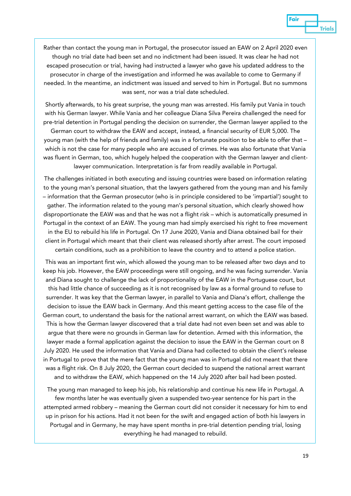

Rather than contact the young man in Portugal, the prosecutor issued an EAW on 2 April 2020 even though no trial date had been set and no indictment had been issued. It was clear he had not escaped prosecution or trial, having had instructed a lawyer who gave his updated address to the prosecutor in charge of the investigation and informed he was available to come to Germany if needed. In the meantime, an indictment was issued and served to him in Portugal. But no summons was sent, nor was a trial date scheduled.

Shortly afterwards, to his great surprise, the young man was arrested. His family put Vania in touch with his German lawyer. While Vania and her colleague Diana Silva Pereira challenged the need for pre-trial detention in Portugal pending the decision on surrender, the German lawyer applied to the

German court to withdraw the EAW and accept, instead, a financial security of EUR 5,000. The young man (with the help of friends and family) was in a fortunate position to be able to offer that – which is not the case for many people who are accused of crimes. He was also fortunate that Vania was fluent in German, too, which hugely helped the cooperation with the German lawyer and clientlawyer communication. Interpretation is far from readily available in Portugal.

The challenges initiated in both executing and issuing countries were based on information relating to the young man's personal situation, that the lawyers gathered from the young man and his family – information that the German prosecutor (who is in principle considered to be 'impartial') sought to gather. The information related to the young man's personal situation, which clearly showed how disproportionate the EAW was and that he was not a flight risk – which is automatically presumed in Portugal in the context of an EAW. The young man had simply exercised his right to free movement in the EU to rebuild his life in Portugal. On 17 June 2020, Vania and Diana obtained bail for their client in Portugal which meant that their client was released shortly after arrest. The court imposed certain conditions, such as a prohibition to leave the country and to attend a police station.

This was an important first win, which allowed the young man to be released after two days and to keep his job. However, the EAW proceedings were still ongoing, and he was facing surrender. Vania and Diana sought to challenge the lack of proportionality of the EAW in the Portuguese court, but this had little chance of succeeding as it is not recognised by law as a formal ground to refuse to surrender. It was key that the German lawyer, in parallel to Vania and Diana's effort, challenge the decision to issue the EAW back in Germany. And this meant getting access to the case file of the German court, to understand the basis for the national arrest warrant, on which the EAW was based. This is how the German lawyer discovered that a trial date had not even been set and was able to argue that there were no grounds in German law for detention. Armed with this information, the lawyer made a formal application against the decision to issue the EAW in the German court on 8 July 2020. He used the information that Vania and Diana had collected to obtain the client's release in Portugal to prove that the mere fact that the young man was in Portugal did not meant that there was a flight risk. On 8 July 2020, the German court decided to suspend the national arrest warrant and to withdraw the EAW, which happened on the 14 July 2020 after bail had been posted.

The young man managed to keep his job, his relationship and continue his new life in Portugal. A few months later he was eventually given a suspended two-year sentence for his part in the attempted armed robbery – meaning the German court did not consider it necessary for him to end up in prison for his actions. Had it not been for the swift and engaged action of both his lawyers in Portugal and in Germany, he may have spent months in pre-trial detention pending trial, losing everything he had managed to rebuild.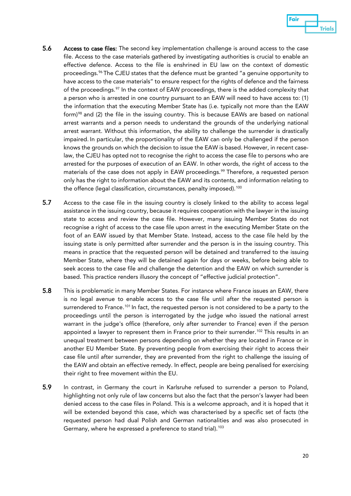

- 5.6 Access to case files: The second key implementation challenge is around access to the case file. Access to the case materials gathered by investigating authorities is crucial to enable an effective defence. Access to the file is enshrined in EU law on the context of domestic proceedings.<sup>[96](#page-32-1)</sup> The CJEU states that the defence must be granted "a genuine opportunity to have access to the case materials" to ensure respect for the rights of defence and the fairness of the proceedings.<sup>[97](#page-32-2)</sup> In the context of EAW proceedings, there is the added complexity that a person who is arrested in one country pursuant to an EAW will need to have access to: (1) the information that the executing Member State has (i.e. typically not more than the EAW form)<sup>[98](#page-32-3)</sup> and (2) the file in the issuing country. This is because EAWs are based on national arrest warrants and a person needs to understand the grounds of the underlying national arrest warrant. Without this information, the ability to challenge the surrender is drastically impaired. In particular, the proportionality of the EAW can only be challenged if the person knows the grounds on which the decision to issue the EAW is based. However, in recent caselaw, the CJEU has opted not to recognise the right to access the case file to persons who are arrested for the purposes of execution of an EAW. In other words, the right of access to the materials of the case does not apply in EAW proceedings.<sup>[99](#page-32-4)</sup> Therefore, a requested person only has the right to information about the EAW and its contents, and information relating to the offence (legal classification, circumstances, penalty imposed).<sup>[100](#page-32-5)</sup>
- 5.7 Access to the case file in the issuing country is closely linked to the ability to access legal assistance in the issuing country, because it requires cooperation with the lawyer in the issuing state to access and review the case file. However, many issuing Member States do not recognise a right of access to the case file upon arrest in the executing Member State on the foot of an EAW issued by that Member State. Instead, access to the case file held by the issuing state is only permitted after surrender and the person is in the issuing country. This means in practice that the requested person will be detained and transferred to the issuing Member State, where they will be detained again for days or weeks, before being able to seek access to the case file and challenge the detention and the EAW on which surrender is based. This practice renders illusory the concept of "effective judicial protection".
- 5.8 This is problematic in many Member States. For instance where France issues an EAW, there is no legal avenue to enable access to the case file until after the requested person is surrendered to France.<sup>[101](#page-32-6)</sup> In fact, the requested person is not considered to be a party to the proceedings until the person is interrogated by the judge who issued the national arrest warrant in the judge's office (therefore, only after surrender to France) even if the person appointed a lawyer to represent them in France prior to their surrender.<sup>[102](#page-32-7)</sup> This results in an unequal treatment between persons depending on whether they are located in France or in another EU Member State. By preventing people from exercising their right to access their case file until after surrender, they are prevented from the right to challenge the issuing of the EAW and obtain an effective remedy. In effect, people are being penalised for exercising their right to free movement within the EU.
- 5.9 In contrast, in Germany the court in Karlsruhe refused to surrender a person to Poland, highlighting not only rule of law concerns but also the fact that the person's lawyer had been denied access to the case files in Poland. This is a welcome approach, and it is hoped that it will be extended beyond this case, which was characterised by a specific set of facts (the requested person had dual Polish and German nationalities and was also prosecuted in Germany, where he expressed a preference to stand trial). [103](#page-32-8)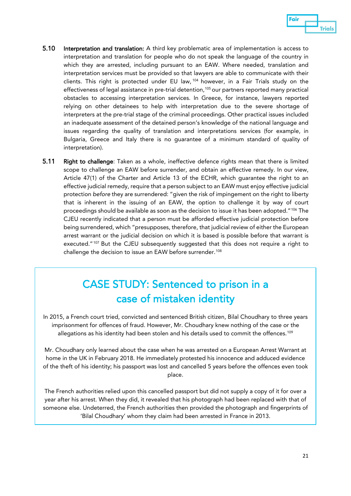

- 5.10 Interpretation and translation: A third key problematic area of implementation is access to interpretation and translation for people who do not speak the language of the country in which they are arrested, including pursuant to an EAW. Where needed, translation and interpretation services must be provided so that lawyers are able to communicate with their clients. This right is protected under EU law, [104](#page-32-9) however, in a Fair Trials study on the effectiveness of legal assistance in pre-trial detention, [105](#page-32-10) our partners reported many practical obstacles to accessing interpretation services. In Greece, for instance, lawyers reported relying on other detainees to help with interpretation due to the severe shortage of interpreters at the pre-trial stage of the criminal proceedings. Other practical issues included an inadequate assessment of the detained person's knowledge of the national language and issues regarding the quality of translation and interpretations services (for example, in Bulgaria, Greece and Italy there is no guarantee of a minimum standard of quality of interpretation).
- 5.11 Right to challenge: Taken as a whole, ineffective defence rights mean that there is limited scope to challenge an EAW before surrender, and obtain an effective remedy. In our view, Article 47(1) of the Charter and Article 13 of the ECHR, which guarantee the right to an effective judicial remedy, require that a person subject to an EAW must enjoy effective judicial protection *before* they are surrendered: "given the risk of impingement on the right to liberty that is inherent in the issuing of an EAW, the option to challenge it by way of court proceedings should be available as soon as the decision to issue it has been adopted."[106](#page-32-11) The CJEU recently indicated that a person must be afforded effective judicial protection before being surrendered, which "presupposes, therefore, that judicial review of either the European arrest warrant or the judicial decision on which it is based is possible before that warrant is executed."<sup>[107](#page-32-12)</sup> But the CJEU subsequently suggested that this does not require a right to challenge the decision to issue an EAW before surrender.<sup>[108](#page-32-13)</sup>

### CASE STUDY: Sentenced to prison in a case of mistaken identity

In 2015, a French court tried, convicted and sentenced British citizen, Bilal Choudhary to three years imprisonment for offences of fraud. However, Mr. Choudhary knew nothing of the case or the allegations as his identity had been stolen and his details used to commit the offences.[109](#page-32-14)

Mr. Choudhary only learned about the case when he was arrested on a European Arrest Warrant at home in the UK in February 2018. He immediately protested his innocence and adduced evidence of the theft of his identity; his passport was lost and cancelled 5 years before the offences even took place.

The French authorities relied upon this cancelled passport but did not supply a copy of it for over a year after his arrest. When they did, it revealed that his photograph had been replaced with that of someone else. Undeterred, the French authorities then provided the photograph and fingerprints of 'Bilal Choudhary' whom they claim had been arrested in France in 2013.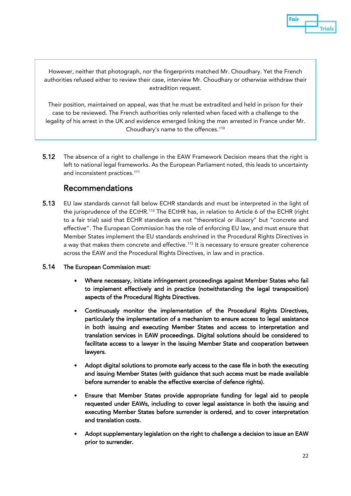Eair **Trials** 

However, neither that photograph, nor the fingerprints matched Mr. Choudhary. Yet the French authorities refused either to review their case, interview Mr. Choudhary or otherwise withdraw their extradition request.

Their position, maintained on appeal, was that he must be extradited and held in prison for their case to be reviewed. The French authorities only relented when faced with a challenge to the legality of his arrest in the UK and evidence emerged linking the man arrested in France under Mr. Choudhary's name to the offences.<sup>[110](#page-32-15)</sup>

5.12 The absence of a right to challenge in the EAW Framework Decision means that the right is left to national legal frameworks. As the European Parliament noted, this leads to uncertainty and inconsistent practices.<sup>[111](#page-32-16)</sup>

#### Recommendations

5.13 EU law standards cannot fall below ECHR standards and must be interpreted in the light of the jurisprudence of the ECtHR.<sup>[112](#page-32-17)</sup> The ECtHR has, in relation to Article 6 of the ECHR (right to a fair trial) said that ECHR standards are not "theoretical or illusory" but "concrete and effective". The European Commission has the role of enforcing EU law, and must ensure that Member States implement the EU standards enshrined in the Procedural Rights Directives in a way that makes them concrete and effective.<sup>[113](#page-32-18)</sup> It is necessary to ensure greater coherence across the EAW and the Procedural Rights Directives, in law and in practice.

#### 5.14 The European Commission must:

- Where necessary, initiate infringement proceedings against Member States who fail to implement effectively and in practice (notwithstanding the legal transposition) aspects of the Procedural Rights Directives.
- Continuously monitor the implementation of the Procedural Rights Directives, particularly the implementation of a mechanism to ensure access to legal assistance in both issuing and executing Member States and access to interpretation and translation services in EAW proceedings. Digital solutions should be considered to facilitate access to a lawyer in the issuing Member State and cooperation between lawyers.
- Adopt digital solutions to promote early access to the case file in both the executing and issuing Member States (with guidance that such access must be made available before surrender to enable the effective exercise of defence rights).
- Ensure that Member States provide appropriate funding for legal aid to people requested under EAWs, including to cover legal assistance in both the issuing and executing Member States before surrender is ordered, and to cover interpretation and translation costs.
- Adopt supplementary legislation on the right to challenge a decision to issue an EAW prior to surrender.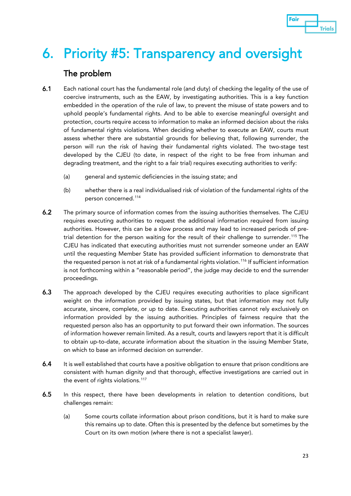

## 6. Priority #5: Transparency and oversight

#### The problem

- 6.1 Each national court has the fundamental role (and duty) of checking the legality of the use of coercive instruments, such as the EAW, by investigating authorities. This is a key function embedded in the operation of the rule of law, to prevent the misuse of state powers and to uphold people's fundamental rights. And to be able to exercise meaningful oversight and protection, courts require access to information to make an informed decision about the risks of fundamental rights violations. When deciding whether to execute an EAW, courts must assess whether there are substantial grounds for believing that, following surrender, the person will run the risk of having their fundamental rights violated. The two-stage test developed by the CJEU (to date, in respect of the right to be free from inhuman and degrading treatment, and the right to a fair trial) requires executing authorities to verify:
	- (a) general and systemic deficiencies in the issuing state; and
	- (b) whether there is a real individualised risk of violation of the fundamental rights of the person concerned[.114](#page-33-0)
- 6.2 The primary source of information comes from the issuing authorities themselves. The CJEU requires executing authorities to request the additional information required from issuing authorities. However, this can be a slow process and may lead to increased periods of pre-trial detention for the person waiting for the result of their challenge to surrender.<sup>[115](#page-33-1)</sup> The CJEU has indicated that executing authorities must not surrender someone under an EAW until the requesting Member State has provided sufficient information to demonstrate that the requested person is not at risk of a fundamental rights violation. [116](#page-33-2) If sufficient information is not forthcoming within a "reasonable period", the judge may decide to end the surrender proceedings.
- 6.3 The approach developed by the CJEU requires executing authorities to place significant weight on the information provided by issuing states, but that information may not fully accurate, sincere, complete, or up to date. Executing authorities cannot rely exclusively on information provided by the issuing authorities. Principles of fairness require that the requested person also has an opportunity to put forward their own information. The sources of information however remain limited. As a result, courts and lawyers report that it is difficult to obtain up-to-date, accurate information about the situation in the issuing Member State, on which to base an informed decision on surrender.
- 6.4 It is well established that courts have a positive obligation to ensure that prison conditions are consistent with human dignity and that thorough, effective investigations are carried out in the event of rights violations.<sup>[117](#page-33-3)</sup>
- 6.5 In this respect, there have been developments in relation to detention conditions, but challenges remain:
	- (a) Some courts collate information about prison conditions, but it is hard to make sure this remains up to date. Often this is presented by the defence but sometimes by the Court on its own motion (where there is not a specialist lawyer).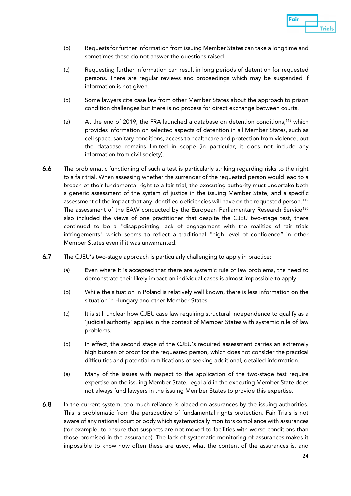

- (b) Requests for further information from issuing Member States can take a long time and sometimes these do not answer the questions raised.
- (c) Requesting further information can result in long periods of detention for requested persons. There are regular reviews and proceedings which may be suspended if information is not given.
- (d) Some lawyers cite case law from other Member States about the approach to prison condition challenges but there is no process for direct exchange between courts.
- (e) At the end of 2019, the FRA launched a database on detention conditions,<sup>[118](#page-33-4)</sup> which provides information on selected aspects of detention in all Member States, such as cell space, sanitary conditions, access to healthcare and protection from violence, but the database remains limited in scope (in particular, it does not include any information from civil society).
- 6.6 The problematic functioning of such a test is particularly striking regarding risks to the right to a fair trial. When assessing whether the surrender of the requested person would lead to a breach of their fundamental right to a fair trial, the executing authority must undertake both a generic assessment of the system of justice in the issuing Member State, and a specific assessment of the impact that any identified deficiencies will have on the requested person.<sup>[119](#page-33-5)</sup> The assessment of the EAW conducted by the European Parliamentary Research Service<sup>[120](#page-33-6)</sup> also included the views of one practitioner that despite the CJEU two-stage test, there continued to be a "disappointing lack of engagement with the realities of fair trials infringements" which seems to reflect a traditional "high level of confidence" in other Member States even if it was unwarranted.
- 6.7 The CJEU's two-stage approach is particularly challenging to apply in practice:
	- (a) Even where it is accepted that there are systemic rule of law problems, the need to demonstrate their likely impact on individual cases is almost impossible to apply.
	- (b) While the situation in Poland is relatively well known, there is less information on the situation in Hungary and other Member States.
	- (c) It is still unclear how CJEU case law requiring structural independence to qualify as a 'judicial authority' applies in the context of Member States with systemic rule of law problems.
	- (d) In effect, the second stage of the CJEU's required assessment carries an extremely high burden of proof for the requested person, which does not consider the practical difficulties and potential ramifications of seeking additional, detailed information.
	- (e) Many of the issues with respect to the application of the two-stage test require expertise on the issuing Member State; legal aid in the executing Member State does not always fund lawyers in the issuing Member States to provide this expertise.
- 6.8 In the current system, too much reliance is placed on assurances by the issuing authorities. This is problematic from the perspective of fundamental rights protection. Fair Trials is not aware of any national court or body which systematically monitors compliance with assurances (for example, to ensure that suspects are not moved to facilities with worse conditions than those promised in the assurance). The lack of systematic monitoring of assurances makes it impossible to know how often these are used, what the content of the assurances is, and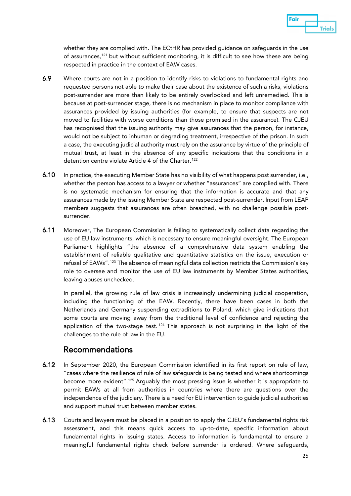

whether they are complied with. The ECtHR has provided guidance on safeguards in the use of assurances,<sup>[121](#page-33-7)</sup> but without sufficient monitoring, it is difficult to see how these are being respected in practice in the context of EAW cases.

- 6.9 Where courts are not in a position to identify risks to violations to fundamental rights and requested persons not able to make their case about the existence of such a risks, violations post-surrender are more than likely to be entirely overlooked and left unremedied. This is because at post-surrender stage, there is no mechanism in place to monitor compliance with assurances provided by issuing authorities (for example, to ensure that suspects are not moved to facilities with worse conditions than those promised in the assurance). The CJEU has recognised that the issuing authority may give assurances that the person, for instance, would not be subject to inhuman or degrading treatment, irrespective of the prison. In such a case, the executing judicial authority must rely on the assurance by virtue of the principle of mutual trust, at least in the absence of any specific indications that the conditions in a detention centre violate Article 4 of the Charter.<sup>[122](#page-33-8)</sup>
- 6.10 In practice, the executing Member State has no visibility of what happens post surrender, i.e., whether the person has access to a lawyer or whether "assurances" are complied with. There is no systematic mechanism for ensuring that the information is accurate and that any assurances made by the issuing Member State are respected post-surrender. Input from LEAP members suggests that assurances are often breached, with no challenge possible postsurrender.
- 6.11 Moreover, The European Commission is failing to systematically collect data regarding the use of EU law instruments, which is necessary to ensure meaningful oversight. The European Parliament highlights "the absence of a comprehensive data system enabling the establishment of reliable qualitative and quantitative statistics on the issue, execution or refusal of EAWs".<sup>[123](#page-33-9)</sup> The absence of meaningful data collection restricts the Commission's key role to oversee and monitor the use of EU law instruments by Member States authorities, leaving abuses unchecked.

In parallel, the growing rule of law crisis is increasingly undermining judicial cooperation, including the functioning of the EAW. Recently, there have been cases in both the Netherlands and Germany suspending extraditions to Poland, which give indications that some courts are moving away from the traditional level of confidence and rejecting the application of the two-stage test.  $124$  This approach is not surprising in the light of the challenges to the rule of law in the EU.

#### Recommendations

- 6.12 In September 2020, the European Commission identified in its first report on rule of law, "cases where the resilience of rule of law safeguards is being tested and where shortcomings become more evident".[125](#page-33-11) Arguably the most pressing issue is whether it is appropriate to permit EAWs at all from authorities in countries where there are questions over the independence of the judiciary. There is a need for EU intervention to guide judicial authorities and support mutual trust between member states.
- 6.13 Courts and lawyers must be placed in a position to apply the CJEU's fundamental rights risk assessment, and this means quick access to up-to-date, specific information about fundamental rights in issuing states. Access to information is fundamental to ensure a meaningful fundamental rights check before surrender is ordered. Where safeguards,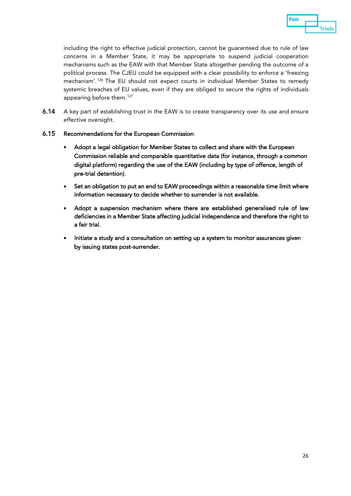

including the right to effective judicial protection, cannot be guaranteed due to rule of law concerns in a Member State, it may be appropriate to suspend judicial cooperation mechanisms such as the EAW with that Member State altogether pending the outcome of a political process. The CJEU could be equipped with a clear possibility to enforce a 'freezing mechanism'. [126](#page-33-12) The EU should not expect courts in individual Member States to remedy systemic breaches of EU values, even if they are obliged to secure the rights of individuals appearing before them. [127](#page-33-13)

6.14 A key part of establishing trust in the EAW is to create transparency over its use and ensure effective oversight.

#### 6.15 Recommendations for the European Commission:

- Adopt a legal obligation for Member States to collect and share with the European Commission reliable and comparable quantitative data (for instance, through a common digital platform) regarding the use of the EAW (including by type of offence, length of pre-trial detention).
- Set an obligation to put an end to EAW proceedings within a reasonable time limit where information necessary to decide whether to surrender is not available.
- Adopt a suspension mechanism where there are established generalised rule of law deficiencies in a Member State affecting judicial independence and therefore the right to a fair trial.
- Initiate a study and a consultation on setting up a system to monitor assurances given by issuing states post-surrender.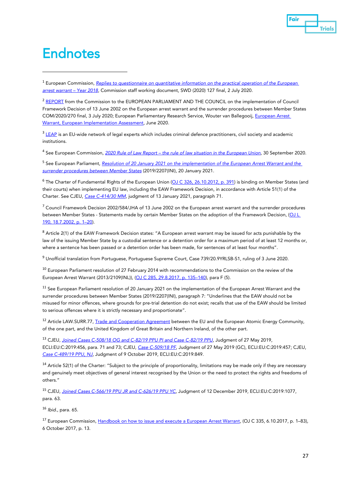

### **Endnotes**

<span id="page-27-0"></span><sup>1</sup> European Commission, *[Replies to questionnaire on quantitative information on the practical operation of the European](https://ec.europa.eu/info/sites/info/files/swd_2020_127_f1_v1_en.pdf)  [arrest warrant –](https://ec.europa.eu/info/sites/info/files/swd_2020_127_f1_v1_en.pdf) Year 2018*, Commission staff working document, SWD (2020) 127 final, 2 July 2020.

<span id="page-27-1"></span><sup>2</sup> [REPORT](https://eur-lex.europa.eu/legal-content/EN/TXT/?uri=COM:2020:270:FIN) from the Commission to the EUROPEAN PARLIAMENT AND THE COUNCIL on the implementation of Council Framework Decision of 13 June 2002 on the European arrest warrant and the surrender procedures between Member States COM/2020/270 final, 3 July 2020; European Parliamentary Research Service, Wouter van Ballegooij[, European Arrest](https://www.europarl.europa.eu/thinktank/en/document.html?reference=EPRS_STU(2020)642839)  [Warrant, European Implementation Assessment,](https://www.europarl.europa.eu/thinktank/en/document.html?reference=EPRS_STU(2020)642839) June 2020.

<span id="page-27-2"></span> $3$  [LEAP](https://www.fairtrials.org/legal-experts-advisory-panel) is an EU-wide network of legal experts which includes criminal defence practitioners, civil society and academic institutions.

<span id="page-27-3"></span><sup>4</sup> See European Commission, *2020 Rule of Law Report – [the rule of law situation in the European Union](https://ec.europa.eu/info/publications/2020-rule-law-report-communication-and-country-chapters_en)*, 30 September 2020.

<span id="page-27-4"></span><sup>5</sup> See European Parliament, *[Resolution of 20 January 2021 on the implementation of the European Arrest Warrant and the](https://www.europarl.europa.eu/doceo/document/TA-9-2021-0006_EN.html)  [surrender procedures between Member States](https://www.europarl.europa.eu/doceo/document/TA-9-2021-0006_EN.html)* (2019/2207(INI), 20 January 2021.

<span id="page-27-5"></span><sup>6</sup> The Charter of Fundamental Rights of the European Union (OJ C [326, 26.10.2012, p. 391\)](https://eur-lex.europa.eu/LexUriServ/LexUriServ.do?uri=OJ:C:2012:326:FULL:EN:PDF) is binding on Member States (and their courts) when implementing EU law, including the EAW Framework Decision, in accordance with Article 51(1) of the Charter. See CJEU, *[Case C-414/30](https://curia.europa.eu/juris/document/document.jsf?text=&docid=236403&pageIndex=0&doclang=EN&mode=req&dir=&occ=first&part=1&cid=381303) MM*, judgment of 13 January 2021, paragraph 71.

<span id="page-27-6"></span><sup>7</sup> Council Framework Decision 2002/584/JHA of 13 June 2002 on the European arrest warrant and the surrender procedures between Member States - Statements made by certain Member States on the adoption of the Framework Decision, (OJ L [190, 18.7.2002, p. 1–20\).](https://eur-lex.europa.eu/legal-content/en/TXT/?uri=celex:32002F0584)

<span id="page-27-7"></span>8 Article 2(1) of the EAW Framework Decision states: "A European arrest warrant may be issued for acts punishable by the law of the issuing Member State by a custodial sentence or a detention order for a maximum period of at least 12 months or, where a sentence has been passed or a detention order has been made, for sentences of at least four months".

<span id="page-27-8"></span><sup>9</sup> Unofficial translation from Portuguese, Portuguese Supreme Court, Case 739/20.9YRLSB-S1, ruling of 3 June 2020.

<span id="page-27-9"></span><sup>10</sup> European Parliament resolution of 27 February 2014 with recommendations to the Commission on the review of the European Arrest Warrant (2013/2109(INL)), [\(OJ C 285, 29.8.2017, p. 135–140\)](https://eur-lex.europa.eu/legal-content/EN/TXT/?uri=CELEX%3A52014IP0174), para F (5).

<span id="page-27-10"></span><sup>11</sup> See European Parliament resolution of 20 January 2021 on the implementation of the European Arrest Warrant and the surrender procedures between Member States (2019/2207(INI), paragraph 7: "Underlines that the EAW should not be misused for minor offences, where grounds for pre-trial detention do not exist; recalls that use of the EAW should be limited to serious offences where it is strictly necessary and proportionate".

<span id="page-27-11"></span><sup>12</sup> Article LAW.SURR.77[, Trade and Cooperation Agreement](https://ec.europa.eu/info/sites/info/files/draft_eu-uk_trade_and_cooperation_agreement.pdf) between the EU and the European Atomic Energy Community, of the one part, and the United Kingdom of Great Britain and Northern Ireland, of the other part.

<span id="page-27-12"></span><sup>13</sup> CJEU, *[Joined Cases C-508/18 OG and C-82/19 PPU PI and Case C-82/19 PPU](http://curia.europa.eu/juris/document/document.jsf?text=&docid=214466&pageIndex=0&doclang=EN&mode=lst&dir=&occ=first&part=1&cid=14657350)*, Judgment of 27 May 2019, ECLI:EU:C:2019:456, para. 71 and 73; CJEU, *Case [C-509/18](http://curia.europa.eu/juris/document/document.jsf?text=&docid=214465&pageIndex=0&doclang=EN&mode=lst&dir=&occ=first&part=1&cid=14657350) PF*, Judgment of 27 May 2019 (GC), ECLI:EU:C:2019:457; CJEU, *[Case C-489/19 PPU, NJ](http://curia.europa.eu/juris/document/document.jsf?text=&docid=218890&pageIndex=0&doclang=en&mode=lst&dir=&occ=first&part=1&cid=14657350)*, Judgment of 9 October 2019, ECLI:EU:C:2019:849.

<span id="page-27-13"></span><sup>14</sup> Article 52(1) of the Charter: "Subject to the principle of proportionality, limitations may be made only if they are necessary and genuinely meet objectives of general interest recognised by the Union or the need to protect the rights and freedoms of others."

<span id="page-27-14"></span><sup>15</sup> CJEU, *[Joined Cases C-566/19 PPU JR and C-626/19 PPU YC,](http://curia.europa.eu/juris/document/document.jsf?text=&docid=221509&pageIndex=0&doclang=en&mode=lst&dir=&occ=first&part=1&cid=14657350)* Judgment of 12 December 2019*,* ECLI:EU:C:2019:1077, para. 63.

<span id="page-27-15"></span><sup>16</sup> *Ibid*., para. 65.

<span id="page-27-16"></span><sup>17</sup> European Commission, [Handbook on how to issue and execute a European Arrest Warrant,](https://eur-lex.europa.eu/legal-content/EN/TXT/?uri=CELEX%3A52017XC1006%2802%29) (OJ C 335, 6.10.2017, p. 1–83), 6 October 2017, p. 13.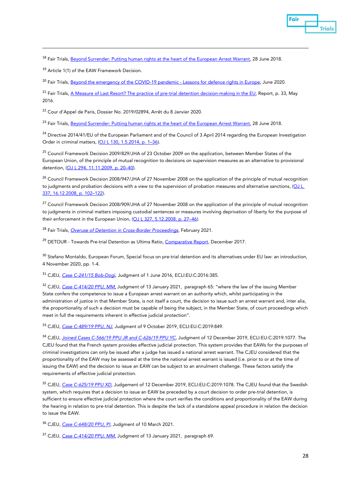

<span id="page-28-0"></span><sup>18</sup> Fair Trials[, Beyond Surrender: Putting human rights at the heart of the European Arrest Warrant,](https://www.fairtrials.org/publication/beyond-surrender) 28 June 2018.

<span id="page-28-1"></span><sup>19</sup> Article 1(1) of the EAW Framework Decision.

<span id="page-28-2"></span><sup>20</sup> Fair Trials[, Beyond the emergency of the COVID-19 pandemic -](https://www.fairtrials.org/publication/beyond-emergency-covid-19-pandemic) Lessons for defence rights in Europe, June 2020.

<span id="page-28-3"></span><sup>21</sup> Fair Trials[, A Measure of Last Resort? The practice of pre-trial detention decision-making in the EU,](https://www.fairtrials.org/publication/measure-last-resort) Report, p. 33, May 2016.

<span id="page-28-4"></span><sup>22</sup> Cour d'Appel de Paris, Dossier No. 2019/02894, Arrêt du 8 Janvier 2020.

<span id="page-28-5"></span><sup>23</sup> Fair Trials[, Beyond Surrender: Putting human rights at the heart of the European Arrest Warrant,](https://www.fairtrials.org/publication/beyond-surrender) 28 June 2018.

<span id="page-28-6"></span><sup>24</sup> Directive 2014/41/EU of the European Parliament and of the Council of 3 April 2014 regarding the European Investigation Order in criminal matters, [\(OJ L 130, 1.5.2014, p. 1–36\).](https://eur-lex.europa.eu/legal-content/EN/TXT/?uri=celex%3A32014L0041)

<span id="page-28-7"></span><sup>25</sup> Council Framework Decision 2009/829/JHA of 23 October 2009 on the application, between Member States of the European Union, of the principle of mutual recognition to decisions on supervision measures as an alternative to provisional detention, [\(OJ L 294, 11.11.2009, p. 20–40\)](https://eur-lex.europa.eu/legal-content/EN/TXT/?uri=CELEX%3A32009F0829&qid=1606266205764).

<span id="page-28-8"></span><sup>26</sup> Council Framework Decision 2008/947/JHA of 27 November 2008 on the application of the principle of mutual recognition to judgments and probation decisions with a view to the supervision of probation measures and alternative sanctions, (OJ L [337, 16.12.2008, p. 102–122\).](https://eur-lex.europa.eu/legal-content/EN/TXT/?uri=CELEX%3A32008F0947&qid=1606266257729)

<span id="page-28-9"></span><sup>27</sup> Council Framework Decision 2008/909/JHA of 27 November 2008 on the application of the principle of mutual recognition to judgments in criminal matters imposing custodial sentences or measures involving deprivation of liberty for the purpose of their enforcement in the European Union, (OJ L 327, 5.12.2008, p. 27-46).

<span id="page-28-10"></span><sup>28</sup> Fair Trials, *[Overuse of Detention in Cross-Border Proceedings,](https://www.fairtrials.org/sites/default/files/EAW-ALT%20Exec%20Summary.pdf)* February 2021.

<span id="page-28-11"></span><sup>29</sup> DETOUR - Towards Pre-trial Detention as Ultima Ratio, [Comparative Report,](https://www.irks.at/detour/publications.html) December 2017.

<span id="page-28-12"></span><sup>30</sup> Stefano Montaldo, European Forum, Special focus on pre-trial detention and its alternatives under EU law: an introduction, 4 November 2020, pp. 1-4.

<span id="page-28-13"></span><sup>31</sup> CJEU, *[Case C-241/15 Bob-Dogi,](http://curia.europa.eu/juris/document/document.jsf?text=&docid=179221&pageIndex=0&doclang=EN&mode=lst&dir=&occ=first&part=1&cid=14657350)* Judgment of 1 June 2016, ECLI:EU:C:2016:385.

<span id="page-28-14"></span><sup>32</sup> CJEU, *Case C-414/20 PPU, MM*, Judgment of 13 January 2021, paragraph 65: "where the law of the issuing Member State confers the competence to issue a European arrest warrant on an authority which, whilst participating in the administration of justice in that Member State, is not itself a court, the decision to issue such an arrest warrant and, inter alia, the proportionality of such a decision must be capable of being the subject, in the Member State, of court proceedings which meet in full the requirements inherent in effective judicial protection".

<span id="page-28-15"></span><sup>33</sup> CJEU, *[Case C-489/19 PPU, NJ](http://curia.europa.eu/juris/document/document.jsf?text=&docid=218890&pageIndex=0&doclang=en&mode=lst&dir=&occ=first&part=1&cid=14657350)*, Judgment of 9 October 2019, ECLI:EU:C:2019:849.

<span id="page-28-16"></span><sup>34</sup> CJEU, *[Joined Cases C-566/19 PPU JR and C-626/19 PPU YC,](http://curia.europa.eu/juris/document/document.jsf?text=&docid=221509&pageIndex=0&doclang=en&mode=lst&dir=&occ=first&part=1&cid=14657350)* Judgment of 12 December 2019*,* ECLI:EU:C:2019:1077. The CJEU found that the French system provides effective judicial protection. This system provides that EAWs for the purposes of criminal investigations can only be issued after a judge has issued a national arrest warrant. The CJEU considered that the proportionality of the EAW may be assessed at the time the national arrest warrant is issued (i.e. prior to or at the time of issuing the EAW) and the decision to issue an EAW can be subject to an annulment challenge. These factors satisfy the requirements of effective judicial protection.

<span id="page-28-17"></span><sup>35</sup> CJEU, *[Case C-625/19 PPU XD](http://curia.europa.eu/juris/document/document.jsf?text=&docid=221513&pageIndex=0&doclang=fr&mode=lst&dir=&occ=first&part=1&cid=14657350)*, Judgement of 12 December 2019, ECLI:EU:C:2019:1078. The CJEU found that the Swedish system, which requires that a decision to issue an EAW be preceded by a court decision to order pre-trial detention, is sufficient to ensure effective judicial protection where the court verifies the conditions and proportionality of the EAW during the hearing in relation to pre-trial detention. This is despite the lack of a standalone appeal procedure in relation the decision to issue the EAW.

<span id="page-28-18"></span><sup>36</sup> CJEU, *[Case C-648/20 PPU, PI](https://curia.europa.eu/juris/document/document.jsf?text=&docid=238710&pageIndex=0&doclang=EN&mode=lst&dir=&occ=first&part=1&cid=801384)*, Judgment of 10 March 2021.

<span id="page-28-19"></span><sup>37</sup> CJEU, *[Case C-414/20 PPU, MM,](https://curia.europa.eu/juris/document/document.jsf?text=&docid=236403&pageIndex=0&doclang=EN&mode=req&dir=&occ=first&part=1&cid=4732500)* Judgment of 13 January 2021, paragraph 69.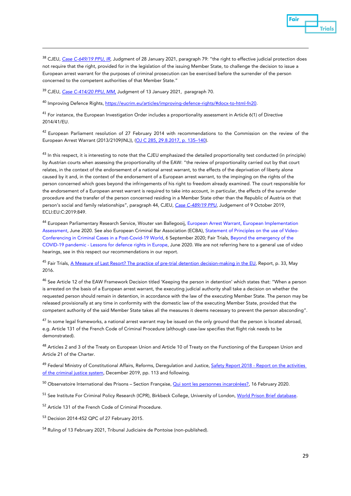

<span id="page-29-0"></span><sup>38</sup> CJEU, *[Case C-649/19 PPU, IR](https://curia.europa.eu/juris/document/document.jsf?text=&docid=237088&pageIndex=0&doclang=EN&mode=lst&dir=&occ=first&part=1&cid=4477304)*, Judgment of 28 January 2021, paragraph 79: "the right to effective judicial protection does not require that the right, provided for in the legislation of the issuing Member State, to challenge the decision to issue a European arrest warrant for the purposes of criminal prosecution can be exercised before the surrender of the person concerned to the competent authorities of that Member State."

<span id="page-29-1"></span><sup>39</sup> CJEU, *[Case C-414/20 PPU, MM,](https://curia.europa.eu/juris/document/document.jsf?text=&docid=236403&pageIndex=0&doclang=EN&mode=req&dir=&occ=first&part=1&cid=4732500)* Judgment of 13 January 2021, paragraph 70.

<span id="page-29-2"></span><sup>40</sup> Improving Defence Rights[, https://eucrim.eu/articles/improving-defence-rights/#docx-to-html-fn20.](https://eucrim.eu/articles/improving-defence-rights/#docx-to-html-fn20)

<span id="page-29-3"></span><sup>41</sup> For instance, the European Investigation Order includes a proportionality assessment in Article 6(1) of Directive 2014/41/EU.

<span id="page-29-4"></span><sup>42</sup> European Parliament resolution of 27 February 2014 with recommendations to the Commission on the review of the European Arrest Warrant (2013/2109(INL)), [\(OJ C 285, 29.8.2017, p. 135–140\)](https://eur-lex.europa.eu/legal-content/EN/TXT/?uri=CELEX%3A52014IP0174).

<span id="page-29-5"></span><sup>43</sup> In this respect, it is interesting to note that the CJEU emphasized the detailed proportionality test conducted (in principle) by Austrian courts when assessing the proportionality of the EAW: "the review of proportionality carried out by that court relates, in the context of the endorsement of a national arrest warrant, to the effects of the deprivation of liberty alone caused by it and, in the context of the endorsement of a European arrest warrant, to the impinging on the rights of the person concerned which goes beyond the infringements of his right to freedom already examined. The court responsible for the endorsement of a European arrest warrant is required to take into account, in particular, the effects of the surrender procedure and the transfer of the person concerned residing in a Member State other than the Republic of Austria on that person's social and family relationships", paragraph 44, CJEU, *[Case C-489/19 PPU](http://curia.europa.eu/juris/document/document.jsf?text=&docid=218890&pageIndex=0&doclang=EN&mode=lst&dir=&occ=first&part=1&cid=160945)*, Judgement of 9 October 2019, ECLI:EU:C:2019:849.

<span id="page-29-6"></span><sup>44</sup> European Parliamentary Research Service, Wouter van Ballegooij, European Arrest Warrant, European Implementation Assessment, June 2020. See also European Criminal Bar Association (ECBA), Statement of Principles on the use of Video-Conferencing in Criminal Cases in a Post-Covid-19 World, 6 September 2020; Fair Trials, Beyond the emergency of the COVID-19 pandemic - Lessons for defence rights in Europe, June 2020. We are not referring here to a general use of video hearings, see in this respect our recommendations in our report.

<span id="page-29-7"></span><sup>45</sup> Fair Trials[, A Measure of Last Resort? The practice of pre-trial detention decision-making in the EU,](https://www.fairtrials.org/publication/measure-last-resort) Report, p. 33, May 2016.

<span id="page-29-8"></span><sup>46</sup> See Article 12 of the EAW Framework Decision titled 'Keeping the person in detention' which states that: "When a person is arrested on the basis of a European arrest warrant, the executing judicial authority shall take a decision on whether the requested person should remain in detention, in accordance with the law of the executing Member State. The person may be released provisionally at any time in conformity with the domestic law of the executing Member State, provided that the competent authority of the said Member State takes all the measures it deems necessary to prevent the person absconding".

<span id="page-29-9"></span><sup>47</sup> In some legal frameworks, a national arrest warrant may be issued on the only ground that the person is located abroad, e.g. Article 131 of the French Code of Criminal Procedure (although case-law specifies that flight risk needs to be demonstrated).

<span id="page-29-10"></span>48 Articles 2 and 3 of the Treaty on European Union and Article 10 of Treaty on the Functioning of the European Union and Article 21 of the Charter.

<span id="page-29-11"></span><sup>49</sup> Federal Ministry of Constitutional Affairs, Reforms, Deregulation and Justice, **Safety Report 2018** - Report on the activities [of the criminal justice system,](https://www.parlament.gv.at/PAKT/VHG/XXVII/III/III_00080/imfname_775930.pdf) December 2019, pp. 113 and following.

<span id="page-29-12"></span><sup>50</sup> Observatoire International des Prisons – Section Française, **Qui sont les personnes incarcérées?**, 16 February 2020.

<span id="page-29-13"></span><sup>51</sup> See Institute For Criminal Policy Research (ICPR), Birkbeck College, University of London[, World Prison Brief database.](https://www.prisonstudies.org/world-prison-brief-data)

<span id="page-29-14"></span><sup>52</sup> Article 131 of the French Code of Criminal Procedure.

<span id="page-29-15"></span><sup>53</sup> Decision 2014-452 QPC of 27 February 2015.

<span id="page-29-16"></span><sup>54</sup> Ruling of 13 February 2021, Tribunal Judiciaire de Pontoise (non-published).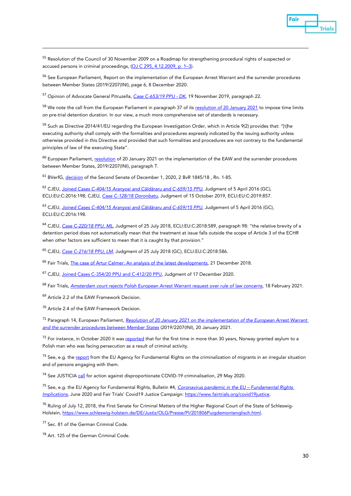

<span id="page-30-0"></span><sup>55</sup> Resolution of the Council of 30 November 2009 on a Roadmap for strengthening procedural rights of suspected or accused persons in criminal proceedings, [\(OJ C 295, 4.12.2009, p. 1–3\).](https://eur-lex.europa.eu/legal-content/EN/TXT/?uri=celex:32009G1204(01))

<span id="page-30-1"></span><sup>56</sup> See European Parliament, Report on the implementation of the European Arrest Warrant and the surrender procedures between Member States (2019/2207(INI), page 6, 8 December 2020.

<span id="page-30-2"></span><sup>57</sup> Opinion of Advocate General Pitruzella, *[Case C-653/19 PPU -](https://curia.europa.eu/juris/document/document.jsf?text=&docid=220773&pageIndex=0&doclang=en&mode=lst&dir=&occ=first&part=1&cid=4585969) DK*, 19 November 2019, paragraph 22.

<span id="page-30-3"></span><sup>58</sup> We note the call from the European Parliament in paragraph 37 of it[s resolution of 20 January 2021](https://www.europarl.europa.eu/doceo/document/TA-9-2021-0006_EN.html) to impose time limits on pre-trial detention duration. In our view, a much more comprehensive set of standards is necessary.

<span id="page-30-4"></span><sup>59</sup> Such as Directive 2014/41/EU regarding the European Investigation Order, which in Article 9(2) provides that: "[t]he executing authority shall comply with the formalities and procedures expressly indicated by the issuing authority unless otherwise provided in this Directive and provided that such formalities and procedures are not contrary to the fundamental principles of law of the executing State".

<span id="page-30-5"></span><sup>60</sup> European Parliament[, resolution](https://www.europarl.europa.eu/doceo/document/TA-9-2021-0006_EN.html) of 20 January 2021 on the implementation of the EAW and the surrender procedures between Member States, 2019/2207(INI), paragraph T.

<span id="page-30-6"></span><sup>61</sup> BVerfG[, decision](http://www.bverfg.de/e/rs20201201_2bvr184518.html) of the Second Senate of December 1, 2020, 2 BvR 1845/18 , Rn. 1-85.

<span id="page-30-7"></span><sup>62</sup> CJEU, *Joined Cases C-*[404/15 Aranyosi and Căldăraru and C](http://curia.europa.eu/juris/document/document.jsf?text=&docid=175547&pageIndex=0&doclang=en&mode=lst&dir=&occ=first&part=1&cid=14646496)*-659/15 PPU*, Judgment of 5 April 2016 (GC), ECLI:EU:C:2016:198; CJEU, *[Case C-128/18 Doronbatu](http://curia.europa.eu/juris/document/document.jsf?text=&docid=219163&pageIndex=0&doclang=en&mode=lst&dir=&occ=first&part=1&cid=14648568)*, Judgment of 15 October 2019, ECLI:EU:C:2019:857.

<span id="page-30-8"></span><sup>63</sup> CJEU, *Joined Cases C-*[404/15 Aranyosi and Căldăraru and C](http://curia.europa.eu/juris/document/document.jsf?text=&docid=175547&pageIndex=0&doclang=en&mode=lst&dir=&occ=first&part=1&cid=14646496)*-659/15 PPU*, Judgement of 5 April 2016 (GC), ECLI:EU:C:2016:198.

<span id="page-30-9"></span><sup>64</sup> CJEU, *[Case C-220/18 PPU, ML](http://curia.europa.eu/juris/document/document.jsf?text=&docid=204383&pageIndex=0&doclang=en&mode=lst&dir=&occ=first&part=1&cid=14647098)*, Judgment of 25 July 2018, ECLI:EU:C:2018:589, paragraph 98: "the relative brevity of a detention period does not automatically mean that the treatment at issue falls outside the scope of Article 3 of the ECHR when other factors are sufficient to mean that it is caught by that provision."

<span id="page-30-10"></span><sup>65</sup> CJEU, *[Case C-216/18 PPU, LM](http://curia.europa.eu/juris/document/document.jsf?text=&docid=204384&pageIndex=0&doclang=en&mode=lst&dir=&occ=first&part=1&cid=14648787)*, Judgment of 25 July 2018 (GC), ECLI:EU:C:2018:586.

<span id="page-30-11"></span><sup>66</sup> Fair Trials[, The case of Artur Celmer: An analysis of the latest developments,](https://www.fairtrials.org/news/case-artur-celmer-analysis-latest-developments) 21 December 2018.

<span id="page-30-12"></span><sup>67</sup> CJEU, [Joined Cases C-354/20 PPU and C-412/20 PPU,](https://curia.europa.eu/juris/document/document.jsf?text=&docid=235719&pageIndex=0&doclang=EN&mode=req&dir=&occ=first&part=1&cid=4811532) Judgment of 17 December 2020.

<span id="page-30-13"></span><sup>68</sup> Fair Trials, *[Amsterdam court rejects Polish European Arrest Warrant request over rule of law concerns,](https://www.fairtrials.org/news/amsterdam-court-rejects-polish-european-arrest-warrant-request-over-rule-law-concerns)* 18 February 2021.

<span id="page-30-14"></span><sup>69</sup> Article 2.2 of the EAW Framework Decision.

<span id="page-30-15"></span><sup>70</sup> Article 2.4 of the EAW Framework Decision.

<span id="page-30-16"></span><sup>71</sup> Paragraph 14, European Parliament, *[Resolution of 20 January 2021 on the implementation of the European Arrest Warrant](https://www.europarl.europa.eu/doceo/document/TA-9-2021-0006_EN.html)  [and the surrender procedures between Member States](https://www.europarl.europa.eu/doceo/document/TA-9-2021-0006_EN.html)* (2019/2207(INI), 20 January 2021.

<span id="page-30-17"></span><sup>72</sup> For instance, in October 2020 it was [reported](https://www.theguardian.com/world/2020/oct/12/norway-grants-asylum-to-polish-man-who-fled-prison-sentence) that for the first time in more than 30 years, Norway granted asylum to a Polish man who was facing persecution as a result of criminal activity.

<span id="page-30-18"></span> $<sup>73</sup>$  See, e.g. th[e report](https://fra.europa.eu/sites/default/files/fra-2014-criminalisation-of-migrants_en.pdf) from the EU Agency for Fundamental Rights on the criminalization of migrants in an irregular situation</sup> and of persons engaging with them.

<span id="page-30-19"></span><sup>74</sup> See JUSTICI[A call](https://www.fairtrials.org/sites/default/files/publication_pdf/JUSTICIA%20callsfor%20action%20against%20disproportionate%20%20COVID-19%20Criminalisation%20-P2.pdf) for action against disproportionate COVID-19 criminalisation, 29 May 2020.

<span id="page-30-20"></span><sup>75</sup> See, e.g. the EU Agency for Fundamental Rights, Bulletin #4, *[Coronavirus pandemic in the EU –](https://fra.europa.eu/sites/default/files/fra_uploads/fra-2020-coronavirus-pandemic-eu-bulletin-july_en.pdf) Fundamental Rights [Implications](https://fra.europa.eu/sites/default/files/fra_uploads/fra-2020-coronavirus-pandemic-eu-bulletin-july_en.pdf)*, June 2020 and Fair Trials' Covid19 Justice Campaign: [https://www.fairtrials.org/covid19justice.](https://www.fairtrials.org/covid19justice)

<span id="page-30-21"></span><sup>76</sup> Ruling of July 12, 2018, the First Senate for Criminal Matters of the Higher Regional Court of the State of Schleswig-Holstein, [https://www.schleswig-holstein.de/DE/Justiz/OLG/Presse/PI/201806Puigdemontenglisch.html.](https://www.schleswig-holstein.de/DE/Justiz/OLG/Presse/PI/201806Puigdemontenglisch.html)

<span id="page-30-22"></span><sup>77</sup> Sec. 81 of the German Criminal Code.

<span id="page-30-23"></span><sup>78</sup> Art. 125 of the German Criminal Code.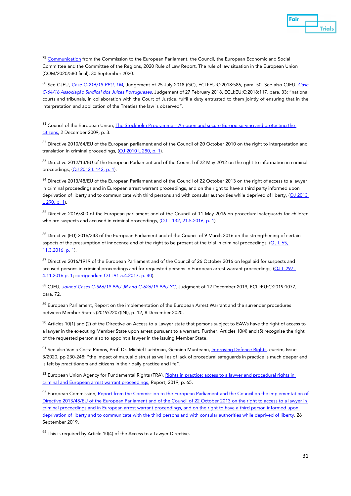<span id="page-31-0"></span><sup>79</sup> [Communication](https://eur-lex.europa.eu/legal-content/EN/TXT/?qid=1602583951529&uri=CELEX%3A52020DC0580) from the Commission to the European Parliament, the Council, the European Economic and Social Committee and the Committee of the Regions, 2020 Rule of Law Report, The rule of law situation in the European Union (COM/2020/580 final), 30 September 2020.

<span id="page-31-1"></span><sup>80</sup> See CJEU, *[Case C-216/18 PPU, LM](http://curia.europa.eu/juris/document/document.jsf?text=&docid=204384&pageIndex=0&doclang=en&mode=lst&dir=&occ=first&part=1&cid=14648787)*, Judgement of 25 July 2018 (GC), ECLI:EU:C:2018:586, para. 50. See also CJEU, *[Case](http://curia.europa.eu/juris/document/document.jsf?text=&docid=199682&pageIndex=0&doclang=en&mode=lst&dir=&occ=first&part=1&cid=15573549)  [C-64/16 Associação Sindical dos Juízes Portugueses](http://curia.europa.eu/juris/document/document.jsf?text=&docid=199682&pageIndex=0&doclang=en&mode=lst&dir=&occ=first&part=1&cid=15573549)*, Judgement of 27 February 2018, ECLI:EU:C:2018:117, para. 33: "national courts and tribunals, in collaboration with the Court of Justice, fulfil a duty entrusted to them jointly of ensuring that in the interpretation and application of the Treaties the law is observed".

<span id="page-31-2"></span>81 Council of the European Union, The Stockholm Programme – An open and secure Europe serving and protecting the [citizens,](https://register.consilium.europa.eu/doc/srv?l=EN&f=ST%2017024%202009%20INIT) 2 December 2009, p. 3.

<span id="page-31-3"></span>82 Directive 2010/64/EU of the European parliament and of the Council of 20 October 2010 on the right to interpretation and translation in criminal proceedings, [\(OJ 2010 L 280, p. 1\).](http://eur-lex.europa.eu/legal-content/EN/TXT/?qid=1415136984378&uri=CELEX:32010L0064)

<span id="page-31-4"></span>83 Directive 2012/13/EU of the European Parliament and of the Council of 22 May 2012 on the right to information in criminal proceedings, [\(OJ 2012 L 142, p. 1\)](http://eur-lex.europa.eu/legal-content/EN/TXT/?qid=1415137055697&uri=CELEX:32012L0013).

<span id="page-31-5"></span>84 Directive 2013/48/EU of the European Parliament and of the Council of 22 October 2013 on the right of access to a lawyer in criminal proceedings and in European arrest warrant proceedings, and on the right to have a third party informed upon deprivation of liberty and to communicate with third persons and with consular authorities while deprived of liberty, [\(OJ 2013](http://eur-lex.europa.eu/legal-content/EN/TXT/?qid=1415137138499&uri=CELEX:32013L0048)  [L 290, p.](http://eur-lex.europa.eu/legal-content/EN/TXT/?qid=1415137138499&uri=CELEX:32013L0048) 1).

<span id="page-31-6"></span>85 Directive 2016/800 of the European parliament and of the Council of 11 May 2016 on procedural safeguards for children who are suspects and accused in criminal proceedings, [\(OJ L 132, 21.5.2016, p. 1\).](https://eur-lex.europa.eu/legal-content/EN/TXT/?uri=CELEX%3A32016L0800)

<span id="page-31-7"></span>86 Directive (EU) 2016/343 of the European Parliament and of the Council of 9 March 2016 on the strengthening of certain aspects of the presumption of innocence and of the right to be present at the trial in criminal proceedings,  $\boxed{\text{OLL}65}$ , [11.3.2016, p. 1\).](https://eur-lex.europa.eu/legal-content/EN/TXT/?uri=CELEX:32016L0343)

<span id="page-31-8"></span><sup>87</sup> Directive 2016/1919 of the European Parliament and of the Council of 26 October 2016 on legal aid for suspects and accused persons in criminal proceedings and for requested persons in European arrest warrant proceedings, [\(OJ L 297,](https://eur-lex.europa.eu/legal-content/EN/TXT/?uri=CELEX%3A32016L1919)  [4.11.2016 p. 1;](https://eur-lex.europa.eu/legal-content/EN/TXT/?uri=CELEX%3A32016L1919) [corrigendum OJ L91 5.4.2017, p. 40\)](https://eur-lex.europa.eu/legal-content/EN/TXT/PDF/?uri=OJ:L:2017:091:FULL&from=LV).

<span id="page-31-9"></span><sup>88</sup> CJEU, *[Joined Cases C-566/19 PPU JR and C-626/19 PPU YC,](http://curia.europa.eu/juris/document/document.jsf?text=&docid=221509&pageIndex=0&doclang=en&mode=lst&dir=&occ=first&part=1&cid=14657350)* Judgment of 12 December 2019*,* ECLI:EU:C:2019:1077, para. 72.

<span id="page-31-10"></span><sup>89</sup> European Parliament, Report on the implementation of the European Arrest Warrant and the surrender procedures between Member States (2019/2207(INI), p. 12, 8 December 2020.

<span id="page-31-11"></span> $90$  Articles 10(1) and (2) of the Directive on Access to a Lawyer state that persons subject to EAWs have the right of access to a lawyer in the executing Member State upon arrest pursuant to a warrant. Further, Articles 10(4) and (5) recognise the right of the requested person also to appoint a lawyer in the issuing Member State.

<span id="page-31-12"></span>91 See also Vania Costa Ramos, Prof. Dr. Michiel Luchtman, Geanina Munteanu, *Improving Defence Rights*, eucrim, Issue 3/2020, pp 230-248: "the impact of mutual distrust as well as of lack of procedural safeguards in practice is much deeper and is felt by practitioners and citizens in their daily practice and life".

<span id="page-31-13"></span>92 European Union Agency for Fundamental Rights (FRA), Rights in practice: access to a lawyer and procedural rights in [criminal and European arrest warrant proceedings,](https://fra.europa.eu/sites/default/files/fra_uploads/fra-2019-rights-in-practice-access-to-a-lawyer-and-procedural-rights-in-criminal-and-european-arrest-warrant-proceedings.pdf) Report, 2019, p. 65.

<span id="page-31-14"></span><sup>93</sup> European Commission, Report from the Commission to the European Parliament and the Council on the implementation of [Directive 2013/48/EU of the European Parliament and of the Council of 22 October 2013 on the right to access to a lawyer in](https://eur-lex.europa.eu/legal-content/GA/TXT/?uri=CELEX:52019DC0560)  [criminal proceedings and in European arrest warrant proceedings, and on the right to have a third person informed upon](https://eur-lex.europa.eu/legal-content/GA/TXT/?uri=CELEX:52019DC0560)  [deprivation of liberty and to communicate with the third persons and with consular authorities while deprived of liberty,](https://eur-lex.europa.eu/legal-content/GA/TXT/?uri=CELEX:52019DC0560) 26 September 2019.

<span id="page-31-15"></span> $94$  This is required by Article 10(4) of the Access to a Lawyer Directive.

Fair

**Trials**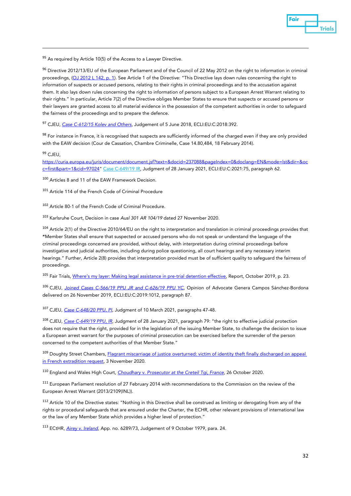

<span id="page-32-0"></span> $95$  As required by Article 10(5) of the Access to a Lawyer Directive.

<span id="page-32-1"></span>96 Directive 2012/13/EU of the European Parliament and of the Council of 22 May 2012 on the right to information in criminal proceedings, [\(OJ 2012 L 142, p. 1\)](http://eur-lex.europa.eu/legal-content/EN/TXT/?qid=1415137055697&uri=CELEX:32012L0013). See Article 1 of the Directive: "This Directive lays down rules concerning the right to information of suspects or accused persons, relating to their rights in criminal proceedings and to the accusation against them. It also lays down rules concerning the right to information of persons subject to a European Arrest Warrant relating to their rights." In particular, Article 7(2) of the Directive obliges Member States to ensure that suspects or accused persons or their lawyers are granted access to all material evidence in the possession of the competent authorities in order to safeguard the fairness of the proceedings and to prepare the defence.

<span id="page-32-2"></span><sup>97</sup> CJEU, *[Case C-612/15 Kolev and Others](http://curia.europa.eu/juris/document/document.jsf?text=&docid=202545&pageIndex=0&doclang=en&mode=lst&dir=&occ=first&part=1&cid=14722182)*, Judgement of 5 June 2018, ECLI:EU:C:2018:392.

<span id="page-32-3"></span>98 For instance in France, it is recognised that suspects are sufficiently informed of the charged even if they are only provided with the EAW decision (Cour de Cassation, Chambre Criminelle, Case 14.80,484, 18 February 2014).

<span id="page-32-4"></span> $99$  CJFU

[https://curia.europa.eu/juris/document/document.jsf?text=&docid=237088&pageIndex=0&doclang=EN&mode=lst&dir=&oc](https://curia.europa.eu/juris/document/document.jsf?text=&docid=237088&pageIndex=0&doclang=EN&mode=lst&dir=&occ=first&part=1&cid=97024) [c=first&part=1&cid=97024"](https://curia.europa.eu/juris/document/document.jsf?text=&docid=237088&pageIndex=0&doclang=EN&mode=lst&dir=&occ=first&part=1&cid=97024) Case C-649/19 IR, Judgment of 28 January 2021, ECLI:EU:C:2021:75, paragraph 62.

<span id="page-32-5"></span><sup>100</sup> Articles 8 and 11 of the EAW Framework Decision.

<span id="page-32-6"></span><sup>101</sup> Article 114 of the French Code of Criminal Procedure

<span id="page-32-7"></span><sup>102</sup> Article 80-1 of the French Code of Criminal Procedure.

<span id="page-32-8"></span><sup>103</sup> Karlsruhe Court, Decision in case *Ausl 301 AR 104/19* dated 27 November 2020.

<span id="page-32-9"></span><sup>104</sup> Article 2(1) of the Directive 2010/64/EU on the right to interpretation and translation in criminal proceedings provides that "Member States shall ensure that suspected or accused persons who do not speak or understand the language of the criminal proceedings concerned are provided, without delay, with interpretation during criminal proceedings before investigative and judicial authorities, including during police questioning, all court hearings and any necessary interim hearings." Further, Article 2(8) provides that interpretation provided must be of sufficient quality to safeguard the fairness of proceedings.

<span id="page-32-10"></span><sup>105</sup> Fair Trials, [Where's my layer: Making legal assistance in pre-trial detention effective,](https://www.fairtrials.org/sites/default/files/publication_pdf/Wheres-my-lawyer-making-legal-assistance-in-pre-trial-detention-effective.pdf) Report, October 2019, p. 23.

<span id="page-32-11"></span><sup>106</sup> CJEU, *[Joined Cases C-566/19 PPU JR and C-626/19 PPU YC,](http://curia.europa.eu/juris/document/document.jsf?text=&docid=220971&pageIndex=0&doclang=en&mode=lst&dir=&occ=first&part=1&cid=10610806)* Opinion of Advocate Genera Campos Sánchez-Bordona delivered on 26 November 2019, ECLI:EU:C:2019:1012, paragraph 87.

<span id="page-32-12"></span><sup>107</sup> CJEU, *[Case C-648/20 PPU, PI](https://curia.europa.eu/juris/document/document.jsf?text=&docid=238710&pageIndex=0&doclang=EN&mode=lst&dir=&occ=first&part=1&cid=801384)*, Judgment of 10 March 2021, paragraphs 47-48.

<span id="page-32-13"></span><sup>108</sup> CJEU, *[Case C-649/19 PPU, IR](https://curia.europa.eu/juris/document/document.jsf?text=&docid=237088&pageIndex=0&doclang=EN&mode=lst&dir=&occ=first&part=1&cid=4477304)*, Judgment of 28 January 2021, paragraph 79: "the right to effective judicial protection does not require that the right, provided for in the legislation of the issuing Member State, to challenge the decision to issue a European arrest warrant for the purposes of criminal prosecution can be exercised before the surrender of the person concerned to the competent authorities of that Member State."

<span id="page-32-14"></span><sup>109</sup> Doughty Street Chambers, Flagrant miscarriage of justice overturned: victim of identity theft finally discharged on appeal [in French extradition request,](https://www.doughtystreet.co.uk/news/flagrant-miscarriage-justice-overturned-victim-identity-theft-finally-discharged-appeal-french) 3 November 2020.

<span id="page-32-15"></span><sup>110</sup> England and Wales High Court, *[Choudhary v. Prosecutor at the Creteil Tgi, France](https://www.casemine.com/judgement/uk/5f9b9b712c94e005e4e754c0)*, 26 October 2020.

<span id="page-32-16"></span><sup>111</sup> European Parliament resolution of 27 February 2014 with recommendations to the Commission on the review of the European Arrest Warrant (2013/2109(INL)).

<span id="page-32-17"></span><sup>112</sup> Article 10 of the Directive states: "Nothing in this Directive shall be construed as limiting or derogating from any of the rights or procedural safeguards that are ensured under the Charter, the ECHR, other relevant provisions of international law or the law of any Member State which provides a higher level of protection."

<span id="page-32-18"></span><sup>113</sup> ECtHR, *[Airey v. Ireland](http://hudoc.echr.coe.int/eng?i=001-57420)*, App. no. 6289/73, Judgement of 9 October 1979, para. 24.